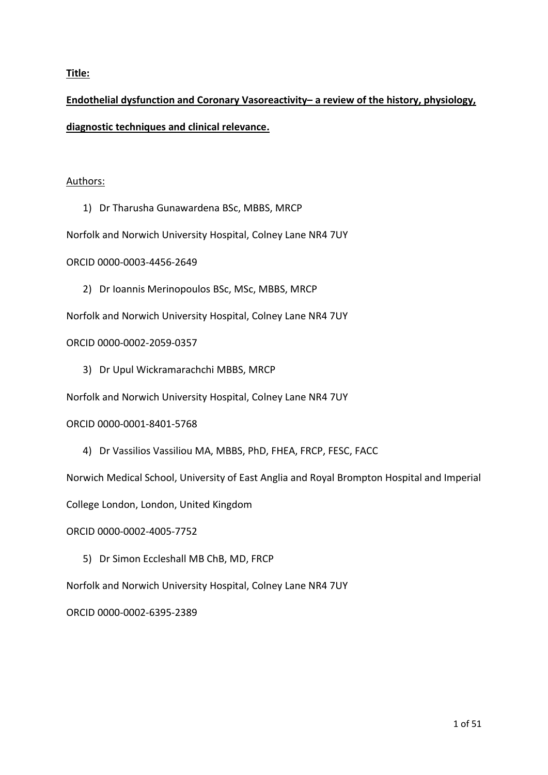## **Title:**

# **Endothelial dysfunction and Coronary Vasoreactivity– a review of the history, physiology, diagnostic techniques and clinical relevance.**

## Authors:

- 1) Dr Tharusha Gunawardena BSc, MBBS, MRCP
- Norfolk and Norwich University Hospital, Colney Lane NR4 7UY

ORCID 0000-0003-4456-2649

2) Dr Ioannis Merinopoulos BSc, MSc, MBBS, MRCP

Norfolk and Norwich University Hospital, Colney Lane NR4 7UY

## ORCID 0000-0002-2059-0357

3) Dr Upul Wickramarachchi MBBS, MRCP

Norfolk and Norwich University Hospital, Colney Lane NR4 7UY

## ORCID 0000-0001-8401-5768

4) Dr Vassilios Vassiliou MA, MBBS, PhD, FHEA, FRCP, FESC, FACC

Norwich Medical School, University of East Anglia and Royal Brompton Hospital and Imperial

College London, London, United Kingdom

ORCID 0000-0002-4005-7752

5) Dr Simon Eccleshall MB ChB, MD, FRCP

Norfolk and Norwich University Hospital, Colney Lane NR4 7UY

ORCID 0000-0002-6395-2389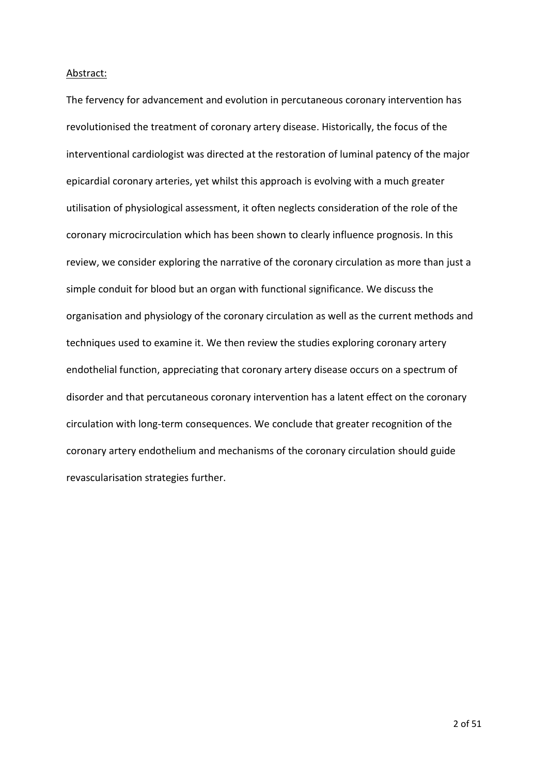#### Abstract:

The fervency for advancement and evolution in percutaneous coronary intervention has revolutionised the treatment of coronary artery disease. Historically, the focus of the interventional cardiologist was directed at the restoration of luminal patency of the major epicardial coronary arteries, yet whilst this approach is evolving with a much greater utilisation of physiological assessment, it often neglects consideration of the role of the coronary microcirculation which has been shown to clearly influence prognosis. In this review, we consider exploring the narrative of the coronary circulation as more than just a simple conduit for blood but an organ with functional significance. We discuss the organisation and physiology of the coronary circulation as well as the current methods and techniques used to examine it. We then review the studies exploring coronary artery endothelial function, appreciating that coronary artery disease occurs on a spectrum of disorder and that percutaneous coronary intervention has a latent effect on the coronary circulation with long-term consequences. We conclude that greater recognition of the coronary artery endothelium and mechanisms of the coronary circulation should guide revascularisation strategies further.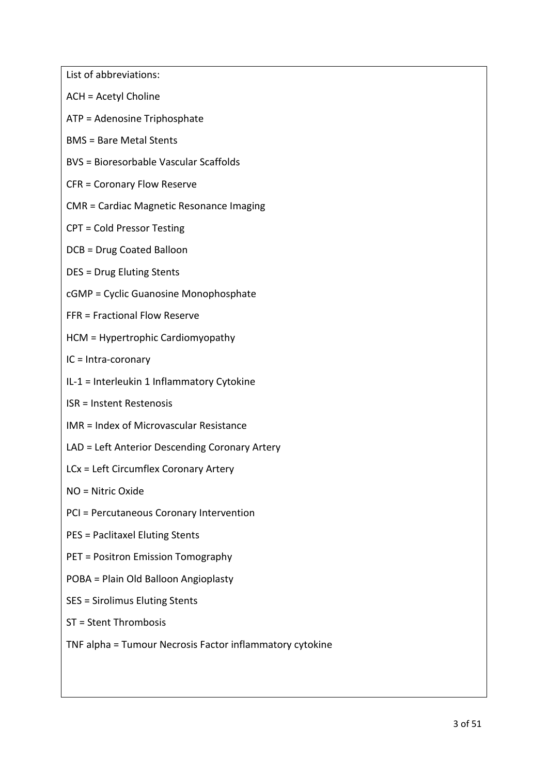List of abbreviations: ACH = Acetyl Choline ATP = Adenosine Triphosphate BMS = Bare Metal Stents BVS = Bioresorbable Vascular Scaffolds CFR = Coronary Flow Reserve CMR = Cardiac Magnetic Resonance Imaging CPT = Cold Pressor Testing DCB = Drug Coated Balloon DES = Drug Eluting Stents cGMP = Cyclic Guanosine Monophosphate FFR = Fractional Flow Reserve HCM = Hypertrophic Cardiomyopathy IC = Intra-coronary IL-1 = Interleukin 1 Inflammatory Cytokine ISR = Instent Restenosis IMR = Index of Microvascular Resistance LAD = Left Anterior Descending Coronary Artery LCx = Left Circumflex Coronary Artery NO = Nitric Oxide PCI = Percutaneous Coronary Intervention

PES = Paclitaxel Eluting Stents

PET = Positron Emission Tomography

POBA = Plain Old Balloon Angioplasty

SES = Sirolimus Eluting Stents

ST = Stent Thrombosis

TNF alpha = Tumour Necrosis Factor inflammatory cytokine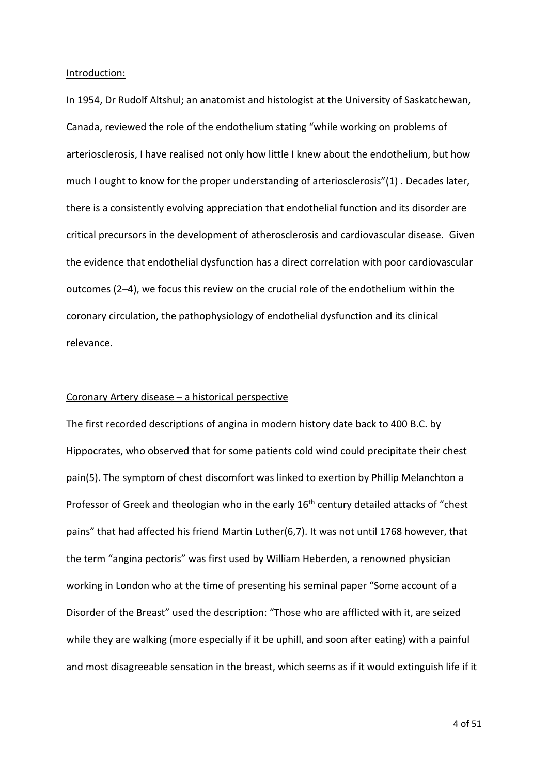#### Introduction:

In 1954, Dr Rudolf Altshul; an anatomist and histologist at the University of Saskatchewan, Canada, reviewed the role of the endothelium stating "while working on problems of arteriosclerosis, I have realised not only how little I knew about the endothelium, but how much I ought to know for the proper understanding of arteriosclerosis"(1) . Decades later, there is a consistently evolving appreciation that endothelial function and its disorder are critical precursors in the development of atherosclerosis and cardiovascular disease. Given the evidence that endothelial dysfunction has a direct correlation with poor cardiovascular outcomes (2–4), we focus this review on the crucial role of the endothelium within the coronary circulation, the pathophysiology of endothelial dysfunction and its clinical relevance.

#### Coronary Artery disease – a historical perspective

The first recorded descriptions of angina in modern history date back to 400 B.C. by Hippocrates, who observed that for some patients cold wind could precipitate their chest pain(5). The symptom of chest discomfort was linked to exertion by Phillip Melanchton a Professor of Greek and theologian who in the early 16<sup>th</sup> century detailed attacks of "chest pains" that had affected his friend Martin Luther(6,7). It was not until 1768 however, that the term "angina pectoris" was first used by William Heberden, a renowned physician working in London who at the time of presenting his seminal paper "Some account of a Disorder of the Breast" used the description: "Those who are afflicted with it, are seized while they are walking (more especially if it be uphill, and soon after eating) with a painful and most disagreeable sensation in the breast, which seems as if it would extinguish life if it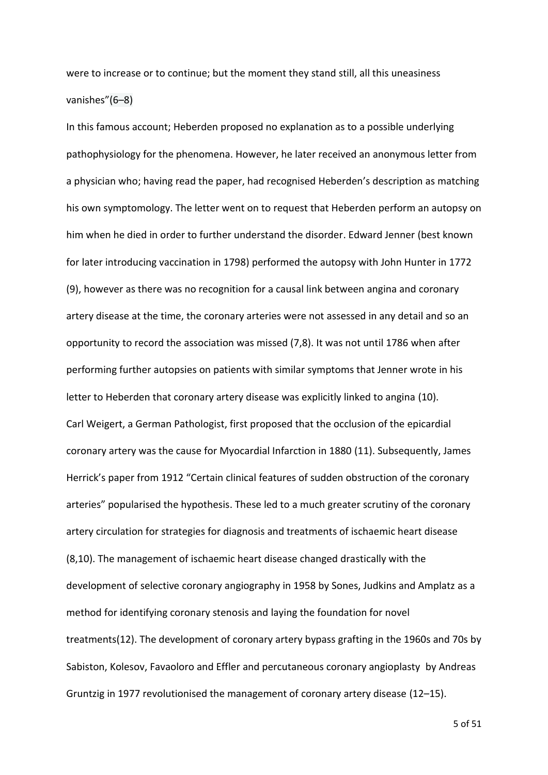were to increase or to continue; but the moment they stand still, all this uneasiness vanishes"(6–8)

In this famous account; Heberden proposed no explanation as to a possible underlying pathophysiology for the phenomena. However, he later received an anonymous letter from a physician who; having read the paper, had recognised Heberden's description as matching his own symptomology. The letter went on to request that Heberden perform an autopsy on him when he died in order to further understand the disorder. Edward Jenner (best known for later introducing vaccination in 1798) performed the autopsy with John Hunter in 1772 (9), however as there was no recognition for a causal link between angina and coronary artery disease at the time, the coronary arteries were not assessed in any detail and so an opportunity to record the association was missed (7,8). It was not until 1786 when after performing further autopsies on patients with similar symptoms that Jenner wrote in his letter to Heberden that coronary artery disease was explicitly linked to angina (10). Carl Weigert, a German Pathologist, first proposed that the occlusion of the epicardial coronary artery was the cause for Myocardial Infarction in 1880 (11). Subsequently, James Herrick's paper from 1912 "Certain clinical features of sudden obstruction of the coronary arteries" popularised the hypothesis. These led to a much greater scrutiny of the coronary artery circulation for strategies for diagnosis and treatments of ischaemic heart disease (8,10). The management of ischaemic heart disease changed drastically with the development of selective coronary angiography in 1958 by Sones, Judkins and Amplatz as a method for identifying coronary stenosis and laying the foundation for novel treatments(12). The development of coronary artery bypass grafting in the 1960s and 70s by Sabiston, Kolesov, Favaoloro and Effler and percutaneous coronary angioplasty by Andreas Gruntzig in 1977 revolutionised the management of coronary artery disease (12–15).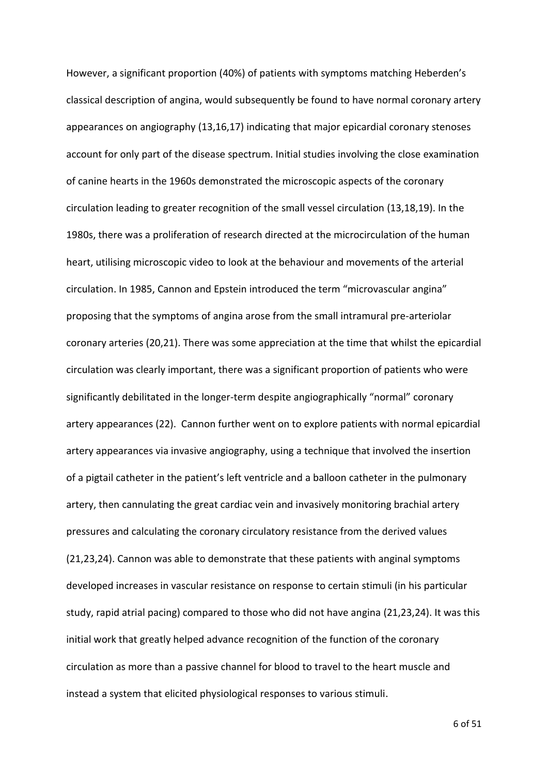However, a significant proportion (40%) of patients with symptoms matching Heberden's classical description of angina, would subsequently be found to have normal coronary artery appearances on angiography (13,16,17) indicating that major epicardial coronary stenoses account for only part of the disease spectrum. Initial studies involving the close examination of canine hearts in the 1960s demonstrated the microscopic aspects of the coronary circulation leading to greater recognition of the small vessel circulation (13,18,19). In the 1980s, there was a proliferation of research directed at the microcirculation of the human heart, utilising microscopic video to look at the behaviour and movements of the arterial circulation. In 1985, Cannon and Epstein introduced the term "microvascular angina" proposing that the symptoms of angina arose from the small intramural pre-arteriolar coronary arteries (20,21). There was some appreciation at the time that whilst the epicardial circulation was clearly important, there was a significant proportion of patients who were significantly debilitated in the longer-term despite angiographically "normal" coronary artery appearances (22). Cannon further went on to explore patients with normal epicardial artery appearances via invasive angiography, using a technique that involved the insertion of a pigtail catheter in the patient's left ventricle and a balloon catheter in the pulmonary artery, then cannulating the great cardiac vein and invasively monitoring brachial artery pressures and calculating the coronary circulatory resistance from the derived values (21,23,24). Cannon was able to demonstrate that these patients with anginal symptoms developed increases in vascular resistance on response to certain stimuli (in his particular study, rapid atrial pacing) compared to those who did not have angina (21,23,24). It was this initial work that greatly helped advance recognition of the function of the coronary circulation as more than a passive channel for blood to travel to the heart muscle and instead a system that elicited physiological responses to various stimuli.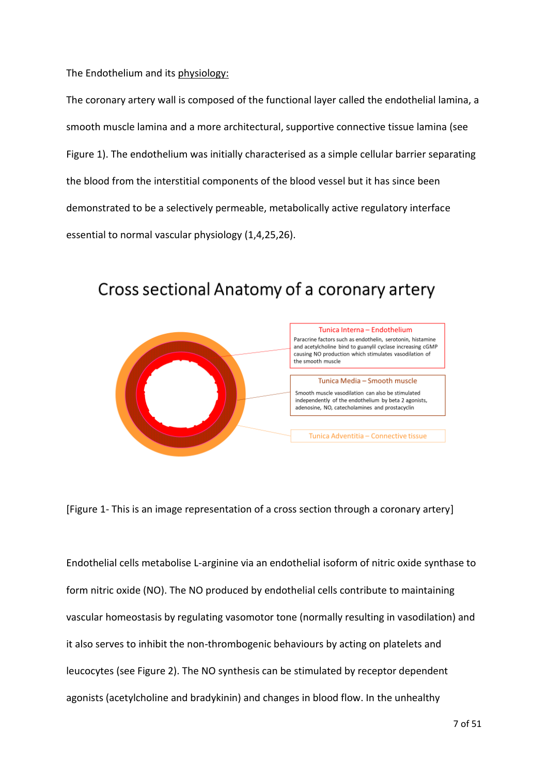The Endothelium and its physiology:

The coronary artery wall is composed of the functional layer called the endothelial lamina, a smooth muscle lamina and a more architectural, supportive connective tissue lamina (see Figure 1). The endothelium was initially characterised as a simple cellular barrier separating the blood from the interstitial components of the blood vessel but it has since been demonstrated to be a selectively permeable, metabolically active regulatory interface essential to normal vascular physiology (1,4,25,26).



# Cross sectional Anatomy of a coronary artery

[Figure 1- This is an image representation of a cross section through a coronary artery]

Endothelial cells metabolise L-arginine via an endothelial isoform of nitric oxide synthase to form nitric oxide (NO). The NO produced by endothelial cells contribute to maintaining vascular homeostasis by regulating vasomotor tone (normally resulting in vasodilation) and it also serves to inhibit the non-thrombogenic behaviours by acting on platelets and leucocytes (see Figure 2). The NO synthesis can be stimulated by receptor dependent agonists (acetylcholine and bradykinin) and changes in blood flow. In the unhealthy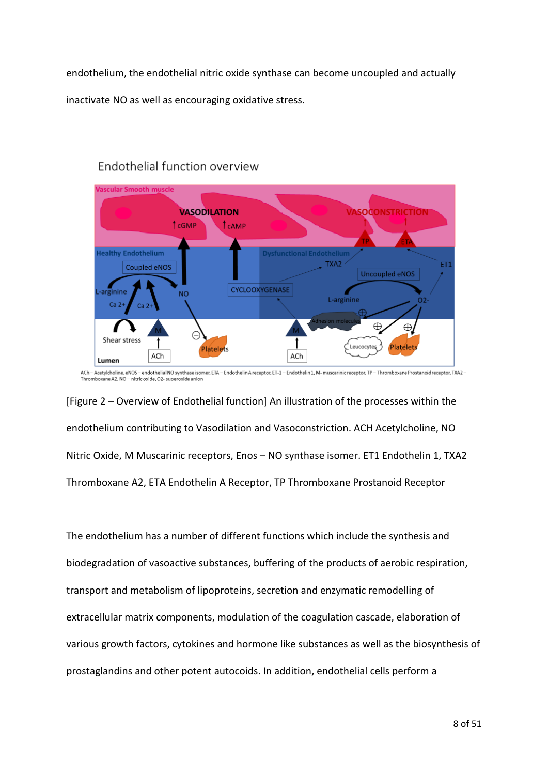endothelium, the endothelial nitric oxide synthase can become uncoupled and actually inactivate NO as well as encouraging oxidative stress.



# Endothelial function overview

ACh - Acetylcholine, eNOS - endothelial NO synthase isomer, ETA - Endothelin A receptor, ET-1 - Endothelin 1, M- muscarinic receptor, TP - Thromboxane Prostanoid receptor, TXA2 -Thromboxane A2, NO - nitric oxide, O2- superoxide anion

[Figure 2 – Overview of Endothelial function] An illustration of the processes within the endothelium contributing to Vasodilation and Vasoconstriction. ACH Acetylcholine, NO Nitric Oxide, M Muscarinic receptors, Enos – NO synthase isomer. ET1 Endothelin 1, TXA2 Thromboxane A2, ETA Endothelin A Receptor, TP Thromboxane Prostanoid Receptor

The endothelium has a number of different functions which include the synthesis and biodegradation of vasoactive substances, buffering of the products of aerobic respiration, transport and metabolism of lipoproteins, secretion and enzymatic remodelling of extracellular matrix components, modulation of the coagulation cascade, elaboration of various growth factors, cytokines and hormone like substances as well as the biosynthesis of prostaglandins and other potent autocoids. In addition, endothelial cells perform a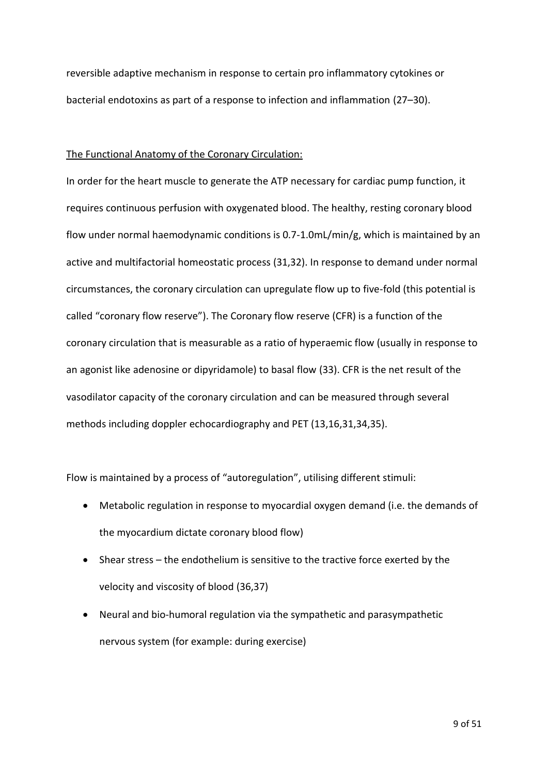reversible adaptive mechanism in response to certain pro inflammatory cytokines or bacterial endotoxins as part of a response to infection and inflammation (27–30).

#### The Functional Anatomy of the Coronary Circulation:

In order for the heart muscle to generate the ATP necessary for cardiac pump function, it requires continuous perfusion with oxygenated blood. The healthy, resting coronary blood flow under normal haemodynamic conditions is 0.7-1.0mL/min/g, which is maintained by an active and multifactorial homeostatic process (31,32). In response to demand under normal circumstances, the coronary circulation can upregulate flow up to five-fold (this potential is called "coronary flow reserve"). The Coronary flow reserve (CFR) is a function of the coronary circulation that is measurable as a ratio of hyperaemic flow (usually in response to an agonist like adenosine or dipyridamole) to basal flow (33). CFR is the net result of the vasodilator capacity of the coronary circulation and can be measured through several methods including doppler echocardiography and PET (13,16,31,34,35).

Flow is maintained by a process of "autoregulation", utilising different stimuli:

- Metabolic regulation in response to myocardial oxygen demand (i.e. the demands of the myocardium dictate coronary blood flow)
- Shear stress the endothelium is sensitive to the tractive force exerted by the velocity and viscosity of blood (36,37)
- Neural and bio-humoral regulation via the sympathetic and parasympathetic nervous system (for example: during exercise)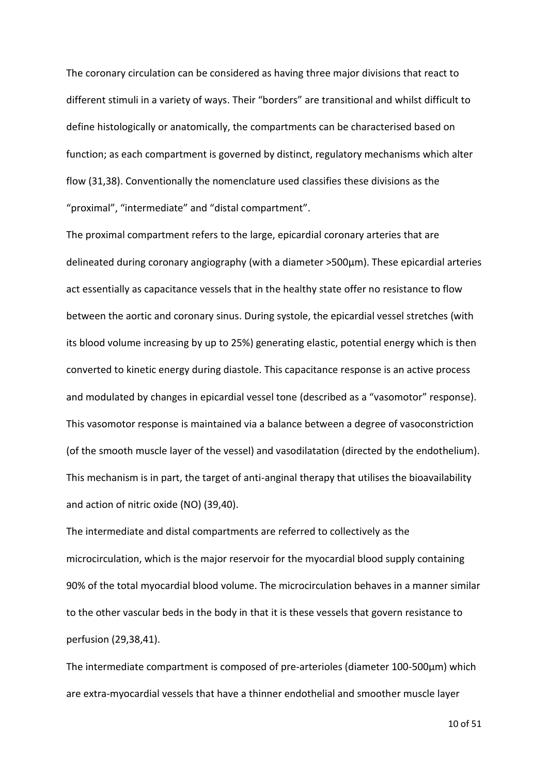The coronary circulation can be considered as having three major divisions that react to different stimuli in a variety of ways. Their "borders" are transitional and whilst difficult to define histologically or anatomically, the compartments can be characterised based on function; as each compartment is governed by distinct, regulatory mechanisms which alter flow (31,38). Conventionally the nomenclature used classifies these divisions as the "proximal", "intermediate" and "distal compartment".

The proximal compartment refers to the large, epicardial coronary arteries that are delineated during coronary angiography (with a diameter >500µm). These epicardial arteries act essentially as capacitance vessels that in the healthy state offer no resistance to flow between the aortic and coronary sinus. During systole, the epicardial vessel stretches (with its blood volume increasing by up to 25%) generating elastic, potential energy which is then converted to kinetic energy during diastole. This capacitance response is an active process and modulated by changes in epicardial vessel tone (described as a "vasomotor" response). This vasomotor response is maintained via a balance between a degree of vasoconstriction (of the smooth muscle layer of the vessel) and vasodilatation (directed by the endothelium). This mechanism is in part, the target of anti-anginal therapy that utilises the bioavailability and action of nitric oxide (NO) (39,40).

The intermediate and distal compartments are referred to collectively as the microcirculation, which is the major reservoir for the myocardial blood supply containing 90% of the total myocardial blood volume. The microcirculation behaves in a manner similar to the other vascular beds in the body in that it is these vessels that govern resistance to perfusion (29,38,41).

The intermediate compartment is composed of pre-arterioles (diameter 100-500µm) which are extra-myocardial vessels that have a thinner endothelial and smoother muscle layer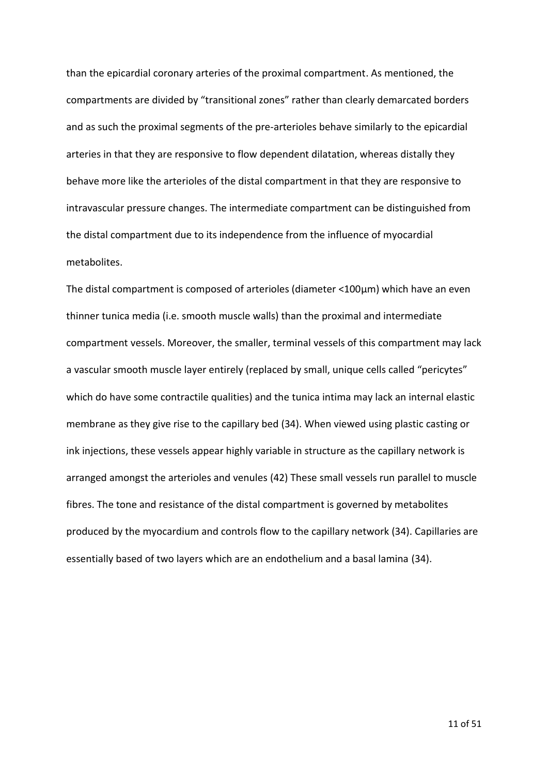than the epicardial coronary arteries of the proximal compartment. As mentioned, the compartments are divided by "transitional zones" rather than clearly demarcated borders and as such the proximal segments of the pre-arterioles behave similarly to the epicardial arteries in that they are responsive to flow dependent dilatation, whereas distally they behave more like the arterioles of the distal compartment in that they are responsive to intravascular pressure changes. The intermediate compartment can be distinguished from the distal compartment due to its independence from the influence of myocardial metabolites.

The distal compartment is composed of arterioles (diameter <100µm) which have an even thinner tunica media (i.e. smooth muscle walls) than the proximal and intermediate compartment vessels. Moreover, the smaller, terminal vessels of this compartment may lack a vascular smooth muscle layer entirely (replaced by small, unique cells called "pericytes" which do have some contractile qualities) and the tunica intima may lack an internal elastic membrane as they give rise to the capillary bed (34). When viewed using plastic casting or ink injections, these vessels appear highly variable in structure as the capillary network is arranged amongst the arterioles and venules (42) These small vessels run parallel to muscle fibres. The tone and resistance of the distal compartment is governed by metabolites produced by the myocardium and controls flow to the capillary network (34). Capillaries are essentially based of two layers which are an endothelium and a basal lamina (34).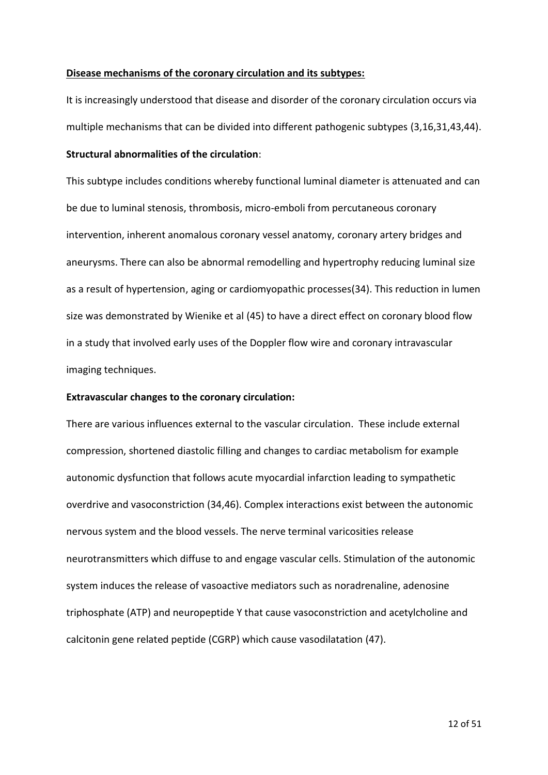#### **Disease mechanisms of the coronary circulation and its subtypes:**

It is increasingly understood that disease and disorder of the coronary circulation occurs via multiple mechanisms that can be divided into different pathogenic subtypes (3,16,31,43,44).

## **Structural abnormalities of the circulation**:

This subtype includes conditions whereby functional luminal diameter is attenuated and can be due to luminal stenosis, thrombosis, micro-emboli from percutaneous coronary intervention, inherent anomalous coronary vessel anatomy, coronary artery bridges and aneurysms. There can also be abnormal remodelling and hypertrophy reducing luminal size as a result of hypertension, aging or cardiomyopathic processes(34). This reduction in lumen size was demonstrated by Wienike et al (45) to have a direct effect on coronary blood flow in a study that involved early uses of the Doppler flow wire and coronary intravascular imaging techniques.

#### **Extravascular changes to the coronary circulation:**

There are various influences external to the vascular circulation. These include external compression, shortened diastolic filling and changes to cardiac metabolism for example autonomic dysfunction that follows acute myocardial infarction leading to sympathetic overdrive and vasoconstriction (34,46). Complex interactions exist between the autonomic nervous system and the blood vessels. The nerve terminal varicosities release neurotransmitters which diffuse to and engage vascular cells. Stimulation of the autonomic system induces the release of vasoactive mediators such as noradrenaline, adenosine triphosphate (ATP) and neuropeptide Y that cause vasoconstriction and acetylcholine and calcitonin gene related peptide (CGRP) which cause vasodilatation (47).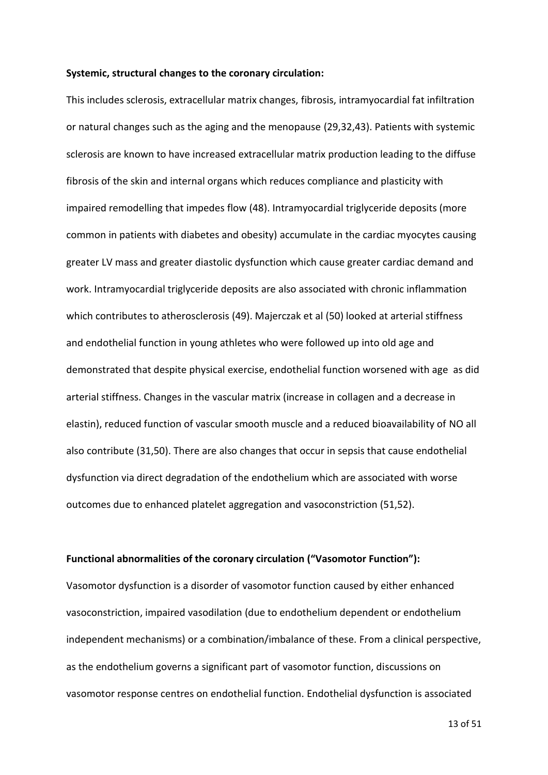#### **Systemic, structural changes to the coronary circulation:**

This includes sclerosis, extracellular matrix changes, fibrosis, intramyocardial fat infiltration or natural changes such as the aging and the menopause (29,32,43). Patients with systemic sclerosis are known to have increased extracellular matrix production leading to the diffuse fibrosis of the skin and internal organs which reduces compliance and plasticity with impaired remodelling that impedes flow (48). Intramyocardial triglyceride deposits (more common in patients with diabetes and obesity) accumulate in the cardiac myocytes causing greater LV mass and greater diastolic dysfunction which cause greater cardiac demand and work. Intramyocardial triglyceride deposits are also associated with chronic inflammation which contributes to atherosclerosis (49). Majerczak et al (50) looked at arterial stiffness and endothelial function in young athletes who were followed up into old age and demonstrated that despite physical exercise, endothelial function worsened with age as did arterial stiffness. Changes in the vascular matrix (increase in collagen and a decrease in elastin), reduced function of vascular smooth muscle and a reduced bioavailability of NO all also contribute (31,50). There are also changes that occur in sepsis that cause endothelial dysfunction via direct degradation of the endothelium which are associated with worse outcomes due to enhanced platelet aggregation and vasoconstriction (51,52).

#### **Functional abnormalities of the coronary circulation ("Vasomotor Function"):**

Vasomotor dysfunction is a disorder of vasomotor function caused by either enhanced vasoconstriction, impaired vasodilation (due to endothelium dependent or endothelium independent mechanisms) or a combination/imbalance of these. From a clinical perspective, as the endothelium governs a significant part of vasomotor function, discussions on vasomotor response centres on endothelial function. Endothelial dysfunction is associated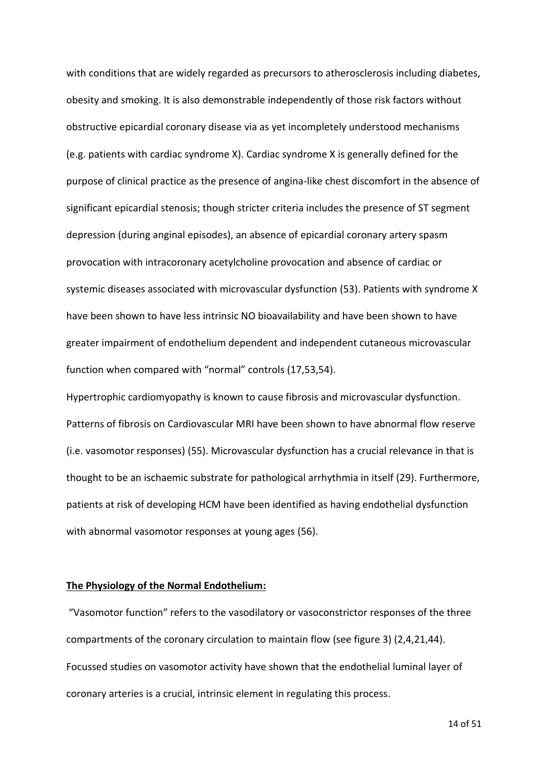with conditions that are widely regarded as precursors to atherosclerosis including diabetes, obesity and smoking. It is also demonstrable independently of those risk factors without obstructive epicardial coronary disease via as yet incompletely understood mechanisms (e.g. patients with cardiac syndrome X). Cardiac syndrome X is generally defined for the purpose of clinical practice as the presence of angina-like chest discomfort in the absence of significant epicardial stenosis; though stricter criteria includes the presence of ST segment depression (during anginal episodes), an absence of epicardial coronary artery spasm provocation with intracoronary acetylcholine provocation and absence of cardiac or systemic diseases associated with microvascular dysfunction (53). Patients with syndrome X have been shown to have less intrinsic NO bioavailability and have been shown to have greater impairment of endothelium dependent and independent cutaneous microvascular function when compared with "normal" controls (17,53,54).

Hypertrophic cardiomyopathy is known to cause fibrosis and microvascular dysfunction. Patterns of fibrosis on Cardiovascular MRI have been shown to have abnormal flow reserve (i.e. vasomotor responses) (55). Microvascular dysfunction has a crucial relevance in that is thought to be an ischaemic substrate for pathological arrhythmia in itself (29). Furthermore, patients at risk of developing HCM have been identified as having endothelial dysfunction with abnormal vasomotor responses at young ages (56).

#### **The Physiology of the Normal Endothelium:**

"Vasomotor function" refers to the vasodilatory or vasoconstrictor responses of the three compartments of the coronary circulation to maintain flow (see figure 3) (2,4,21,44). Focussed studies on vasomotor activity have shown that the endothelial luminal layer of coronary arteries is a crucial, intrinsic element in regulating this process.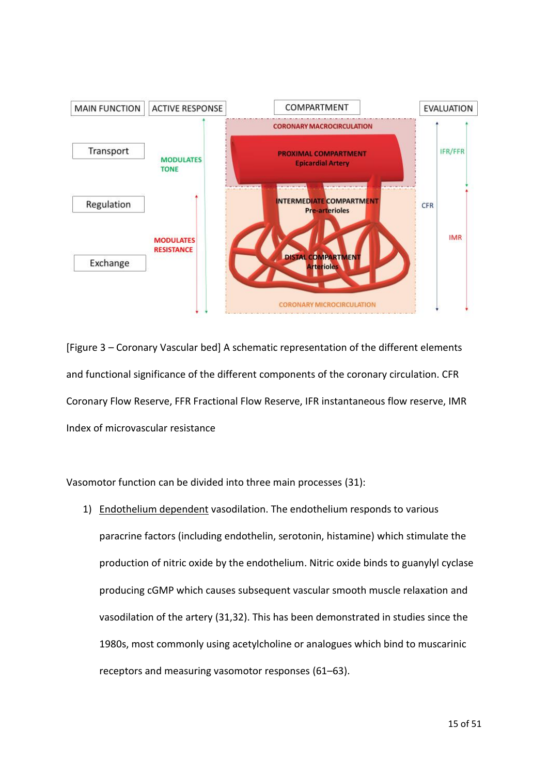

[Figure 3 – Coronary Vascular bed] A schematic representation of the different elements and functional significance of the different components of the coronary circulation. CFR Coronary Flow Reserve, FFR Fractional Flow Reserve, IFR instantaneous flow reserve, IMR Index of microvascular resistance

Vasomotor function can be divided into three main processes (31):

1) Endothelium dependent vasodilation. The endothelium responds to various paracrine factors (including endothelin, serotonin, histamine) which stimulate the production of nitric oxide by the endothelium. Nitric oxide binds to guanylyl cyclase producing cGMP which causes subsequent vascular smooth muscle relaxation and vasodilation of the artery (31,32). This has been demonstrated in studies since the 1980s, most commonly using acetylcholine or analogues which bind to muscarinic receptors and measuring vasomotor responses (61–63).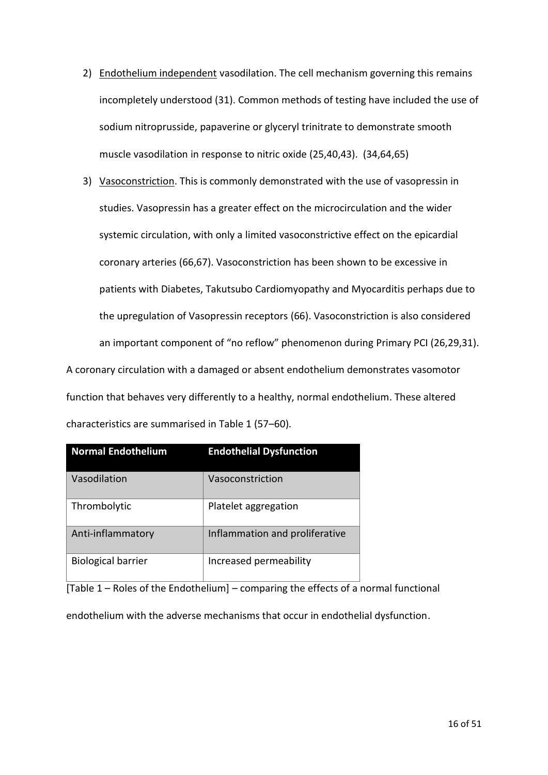- 2) Endothelium independent vasodilation. The cell mechanism governing this remains incompletely understood (31). Common methods of testing have included the use of sodium nitroprusside, papaverine or glyceryl trinitrate to demonstrate smooth muscle vasodilation in response to nitric oxide (25,40,43). (34,64,65)
- 3) Vasoconstriction. This is commonly demonstrated with the use of vasopressin in studies. Vasopressin has a greater effect on the microcirculation and the wider systemic circulation, with only a limited vasoconstrictive effect on the epicardial coronary arteries (66,67). Vasoconstriction has been shown to be excessive in patients with Diabetes, Takutsubo Cardiomyopathy and Myocarditis perhaps due to the upregulation of Vasopressin receptors (66). Vasoconstriction is also considered an important component of "no reflow" phenomenon during Primary PCI (26,29,31).

A coronary circulation with a damaged or absent endothelium demonstrates vasomotor function that behaves very differently to a healthy, normal endothelium. These altered characteristics are summarised in Table 1 (57–60).

| <b>Normal Endothelium</b> | <b>Endothelial Dysfunction</b> |
|---------------------------|--------------------------------|
| Vasodilation              | Vasoconstriction               |
| Thrombolytic              | Platelet aggregation           |
| Anti-inflammatory         | Inflammation and proliferative |
| <b>Biological barrier</b> | Increased permeability         |

[Table 1 – Roles of the Endothelium] – comparing the effects of a normal functional

endothelium with the adverse mechanisms that occur in endothelial dysfunction.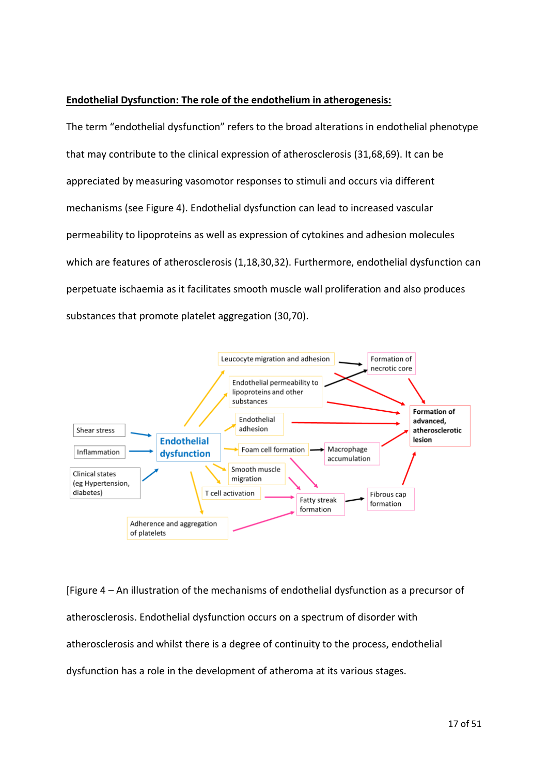## **Endothelial Dysfunction: The role of the endothelium in atherogenesis:**

The term "endothelial dysfunction" refers to the broad alterations in endothelial phenotype that may contribute to the clinical expression of atherosclerosis (31,68,69). It can be appreciated by measuring vasomotor responses to stimuli and occurs via different mechanisms (see Figure 4). Endothelial dysfunction can lead to increased vascular permeability to lipoproteins as well as expression of cytokines and adhesion molecules which are features of atherosclerosis (1,18,30,32). Furthermore, endothelial dysfunction can perpetuate ischaemia as it facilitates smooth muscle wall proliferation and also produces substances that promote platelet aggregation (30,70).



[Figure 4 – An illustration of the mechanisms of endothelial dysfunction as a precursor of atherosclerosis. Endothelial dysfunction occurs on a spectrum of disorder with atherosclerosis and whilst there is a degree of continuity to the process, endothelial dysfunction has a role in the development of atheroma at its various stages.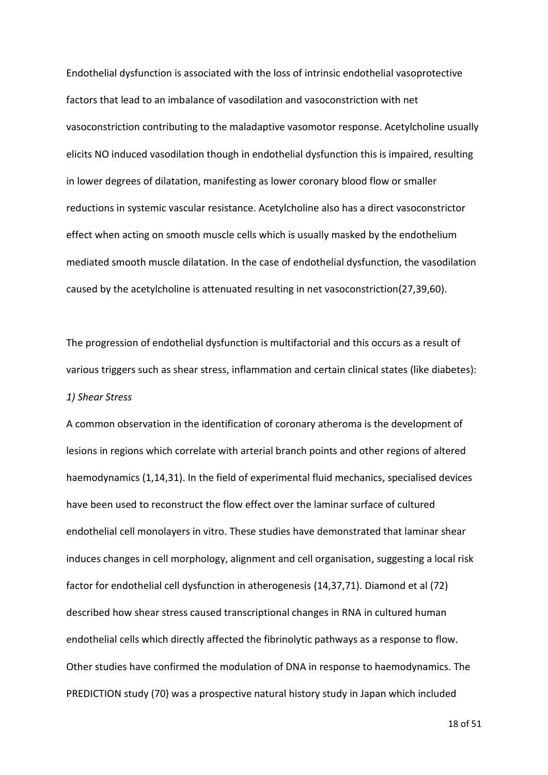Endothelial dysfunction is associated with the loss of intrinsic endothelial vasoprotective factors that lead to an imbalance of vasodilation and vasoconstriction with net vasoconstriction contributing to the maladaptive vasomotor response. Acetylcholine usually elicits NO induced vasodilation though in endothelial dysfunction this is impaired, resulting in lower degrees of dilatation, manifesting as lower coronary blood flow or smaller reductions in systemic vascular resistance. Acetylcholine also has a direct vasoconstrictor effect when acting on smooth muscle cells which is usually masked by the endothelium mediated smooth muscle dilatation. In the case of endothelial dysfunction, the vasodilation caused by the acetylcholine is attenuated resulting in net vasoconstriction(27,39,60).

The progression of endothelial dysfunction is multifactorial and this occurs as a result of various triggers such as shear stress, inflammation and certain clinical states (like diabetes): *1) Shear Stress* 

A common observation in the identification of coronary atheroma is the development of lesions in regions which correlate with arterial branch points and other regions of altered haemodynamics (1,14,31). In the field of experimental fluid mechanics, specialised devices have been used to reconstruct the flow effect over the laminar surface of cultured endothelial cell monolayers in vitro. These studies have demonstrated that laminar shear induces changes in cell morphology, alignment and cell organisation, suggesting a local risk factor for endothelial cell dysfunction in atherogenesis (14,37,71). Diamond et al (72) described how shear stress caused transcriptional changes in RNA in cultured human endothelial cells which directly affected the fibrinolytic pathways as a response to flow. Other studies have confirmed the modulation of DNA in response to haemodynamics. The PREDICTION study (70) was a prospective natural history study in Japan which included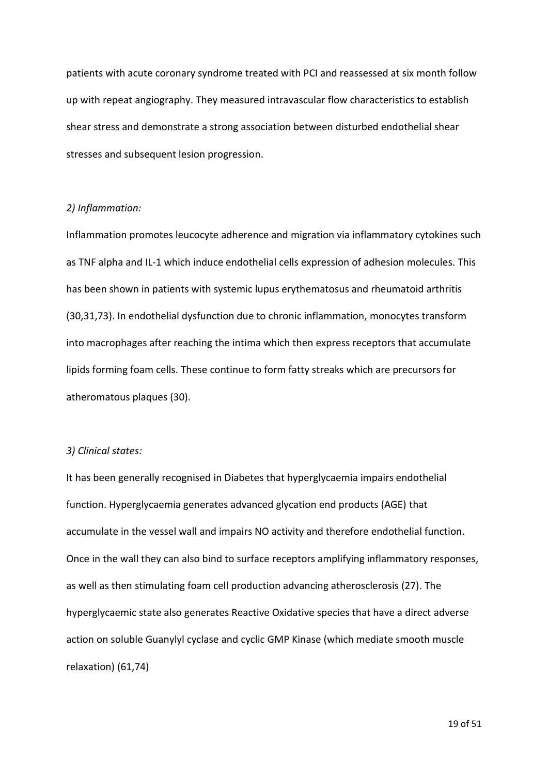patients with acute coronary syndrome treated with PCI and reassessed at six month follow up with repeat angiography. They measured intravascular flow characteristics to establish shear stress and demonstrate a strong association between disturbed endothelial shear stresses and subsequent lesion progression.

### *2) Inflammation:*

Inflammation promotes leucocyte adherence and migration via inflammatory cytokines such as TNF alpha and IL-1 which induce endothelial cells expression of adhesion molecules. This has been shown in patients with systemic lupus erythematosus and rheumatoid arthritis (30,31,73). In endothelial dysfunction due to chronic inflammation, monocytes transform into macrophages after reaching the intima which then express receptors that accumulate lipids forming foam cells. These continue to form fatty streaks which are precursors for atheromatous plaques (30).

### *3) Clinical states:*

It has been generally recognised in Diabetes that hyperglycaemia impairs endothelial function. Hyperglycaemia generates advanced glycation end products (AGE) that accumulate in the vessel wall and impairs NO activity and therefore endothelial function. Once in the wall they can also bind to surface receptors amplifying inflammatory responses, as well as then stimulating foam cell production advancing atherosclerosis (27). The hyperglycaemic state also generates Reactive Oxidative species that have a direct adverse action on soluble Guanylyl cyclase and cyclic GMP Kinase (which mediate smooth muscle relaxation) (61,74)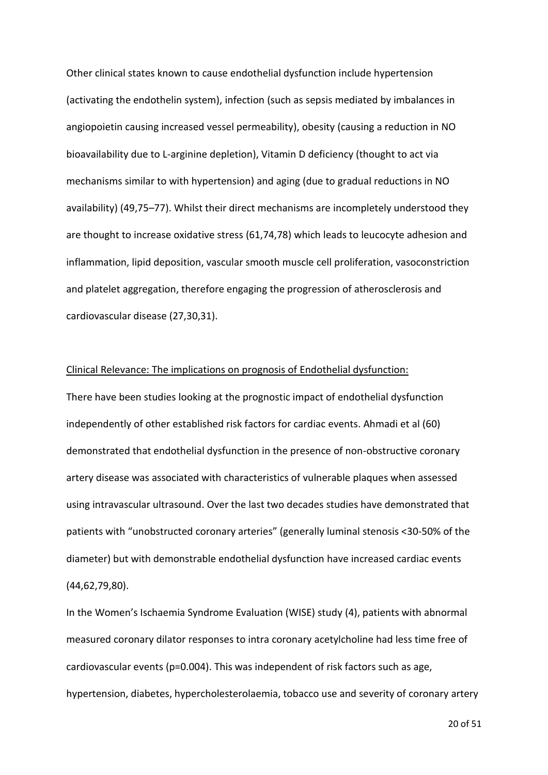Other clinical states known to cause endothelial dysfunction include hypertension (activating the endothelin system), infection (such as sepsis mediated by imbalances in angiopoietin causing increased vessel permeability), obesity (causing a reduction in NO bioavailability due to L-arginine depletion), Vitamin D deficiency (thought to act via mechanisms similar to with hypertension) and aging (due to gradual reductions in NO availability) (49,75–77). Whilst their direct mechanisms are incompletely understood they are thought to increase oxidative stress (61,74,78) which leads to leucocyte adhesion and inflammation, lipid deposition, vascular smooth muscle cell proliferation, vasoconstriction and platelet aggregation, therefore engaging the progression of atherosclerosis and cardiovascular disease (27,30,31).

### Clinical Relevance: The implications on prognosis of Endothelial dysfunction:

There have been studies looking at the prognostic impact of endothelial dysfunction independently of other established risk factors for cardiac events. Ahmadi et al (60) demonstrated that endothelial dysfunction in the presence of non-obstructive coronary artery disease was associated with characteristics of vulnerable plaques when assessed using intravascular ultrasound. Over the last two decades studies have demonstrated that patients with "unobstructed coronary arteries" (generally luminal stenosis <30-50% of the diameter) but with demonstrable endothelial dysfunction have increased cardiac events (44,62,79,80).

In the Women's Ischaemia Syndrome Evaluation (WISE) study (4), patients with abnormal measured coronary dilator responses to intra coronary acetylcholine had less time free of cardiovascular events (p=0.004). This was independent of risk factors such as age, hypertension, diabetes, hypercholesterolaemia, tobacco use and severity of coronary artery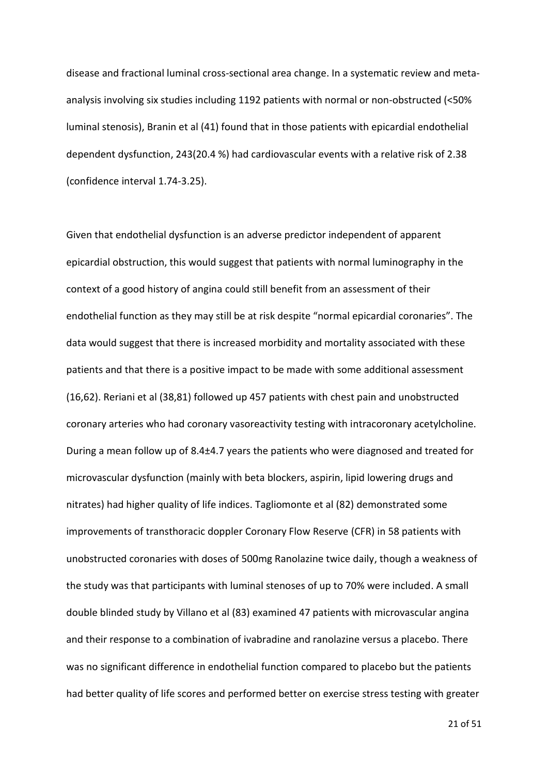disease and fractional luminal cross-sectional area change. In a systematic review and metaanalysis involving six studies including 1192 patients with normal or non-obstructed (<50% luminal stenosis), Branin et al (41) found that in those patients with epicardial endothelial dependent dysfunction, 243(20.4 %) had cardiovascular events with a relative risk of 2.38 (confidence interval 1.74-3.25).

Given that endothelial dysfunction is an adverse predictor independent of apparent epicardial obstruction, this would suggest that patients with normal luminography in the context of a good history of angina could still benefit from an assessment of their endothelial function as they may still be at risk despite "normal epicardial coronaries". The data would suggest that there is increased morbidity and mortality associated with these patients and that there is a positive impact to be made with some additional assessment (16,62). Reriani et al (38,81) followed up 457 patients with chest pain and unobstructed coronary arteries who had coronary vasoreactivity testing with intracoronary acetylcholine. During a mean follow up of 8.4±4.7 years the patients who were diagnosed and treated for microvascular dysfunction (mainly with beta blockers, aspirin, lipid lowering drugs and nitrates) had higher quality of life indices. Tagliomonte et al (82) demonstrated some improvements of transthoracic doppler Coronary Flow Reserve (CFR) in 58 patients with unobstructed coronaries with doses of 500mg Ranolazine twice daily, though a weakness of the study was that participants with luminal stenoses of up to 70% were included. A small double blinded study by Villano et al (83) examined 47 patients with microvascular angina and their response to a combination of ivabradine and ranolazine versus a placebo. There was no significant difference in endothelial function compared to placebo but the patients had better quality of life scores and performed better on exercise stress testing with greater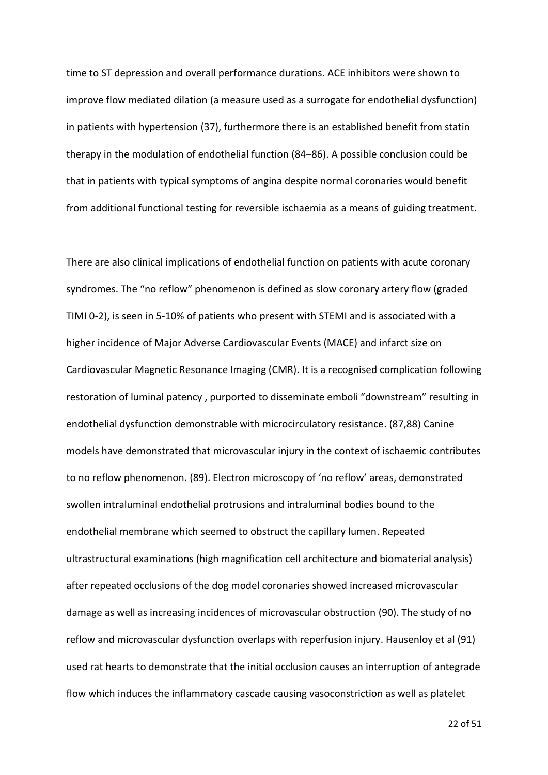time to ST depression and overall performance durations. ACE inhibitors were shown to improve flow mediated dilation (a measure used as a surrogate for endothelial dysfunction) in patients with hypertension (37), furthermore there is an established benefit from statin therapy in the modulation of endothelial function (84–86). A possible conclusion could be that in patients with typical symptoms of angina despite normal coronaries would benefit from additional functional testing for reversible ischaemia as a means of guiding treatment.

There are also clinical implications of endothelial function on patients with acute coronary syndromes. The "no reflow" phenomenon is defined as slow coronary artery flow (graded TIMI 0-2), is seen in 5-10% of patients who present with STEMI and is associated with a higher incidence of Major Adverse Cardiovascular Events (MACE) and infarct size on Cardiovascular Magnetic Resonance Imaging (CMR). It is a recognised complication following restoration of luminal patency , purported to disseminate emboli "downstream" resulting in endothelial dysfunction demonstrable with microcirculatory resistance. (87,88) Canine models have demonstrated that microvascular injury in the context of ischaemic contributes to no reflow phenomenon. (89). Electron microscopy of 'no reflow' areas, demonstrated swollen intraluminal endothelial protrusions and intraluminal bodies bound to the endothelial membrane which seemed to obstruct the capillary lumen. Repeated ultrastructural examinations (high magnification cell architecture and biomaterial analysis) after repeated occlusions of the dog model coronaries showed increased microvascular damage as well as increasing incidences of microvascular obstruction (90). The study of no reflow and microvascular dysfunction overlaps with reperfusion injury. Hausenloy et al (91) used rat hearts to demonstrate that the initial occlusion causes an interruption of antegrade flow which induces the inflammatory cascade causing vasoconstriction as well as platelet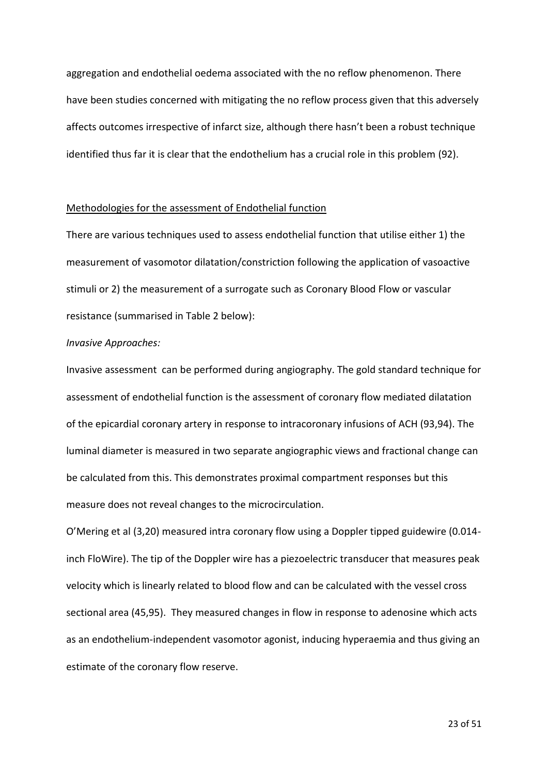aggregation and endothelial oedema associated with the no reflow phenomenon. There have been studies concerned with mitigating the no reflow process given that this adversely affects outcomes irrespective of infarct size, although there hasn't been a robust technique identified thus far it is clear that the endothelium has a crucial role in this problem (92).

### Methodologies for the assessment of Endothelial function

There are various techniques used to assess endothelial function that utilise either 1) the measurement of vasomotor dilatation/constriction following the application of vasoactive stimuli or 2) the measurement of a surrogate such as Coronary Blood Flow or vascular resistance (summarised in Table 2 below):

#### *Invasive Approaches:*

Invasive assessment can be performed during angiography. The gold standard technique for assessment of endothelial function is the assessment of coronary flow mediated dilatation of the epicardial coronary artery in response to intracoronary infusions of ACH (93,94). The luminal diameter is measured in two separate angiographic views and fractional change can be calculated from this. This demonstrates proximal compartment responses but this measure does not reveal changes to the microcirculation.

O'Mering et al (3,20) measured intra coronary flow using a Doppler tipped guidewire (0.014 inch FloWire). The tip of the Doppler wire has a piezoelectric transducer that measures peak velocity which is linearly related to blood flow and can be calculated with the vessel cross sectional area (45,95). They measured changes in flow in response to adenosine which acts as an endothelium-independent vasomotor agonist, inducing hyperaemia and thus giving an estimate of the coronary flow reserve.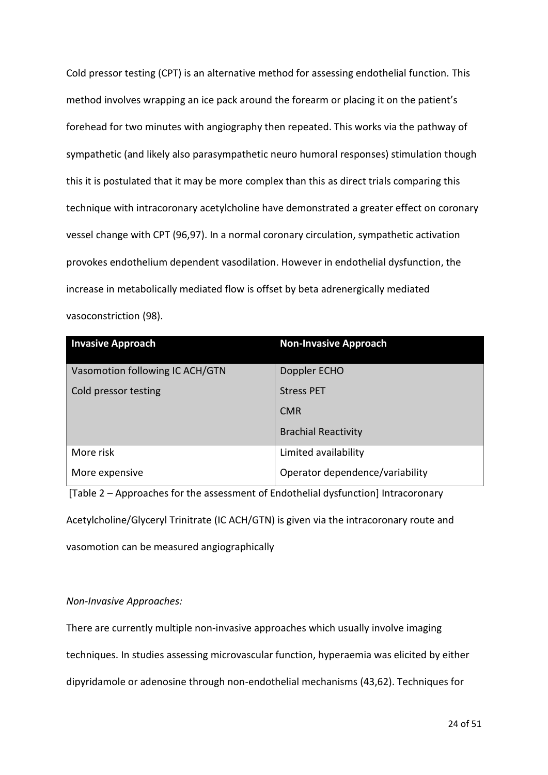Cold pressor testing (CPT) is an alternative method for assessing endothelial function. This method involves wrapping an ice pack around the forearm or placing it on the patient's forehead for two minutes with angiography then repeated. This works via the pathway of sympathetic (and likely also parasympathetic neuro humoral responses) stimulation though this it is postulated that it may be more complex than this as direct trials comparing this technique with intracoronary acetylcholine have demonstrated a greater effect on coronary vessel change with CPT (96,97). In a normal coronary circulation, sympathetic activation provokes endothelium dependent vasodilation. However in endothelial dysfunction, the increase in metabolically mediated flow is offset by beta adrenergically mediated vasoconstriction (98).

| <b>Invasive Approach</b>        | <b>Non-Invasive Approach</b>    |
|---------------------------------|---------------------------------|
| Vasomotion following IC ACH/GTN | Doppler ECHO                    |
| Cold pressor testing            | <b>Stress PET</b>               |
|                                 | <b>CMR</b>                      |
|                                 | <b>Brachial Reactivity</b>      |
| More risk                       | Limited availability            |
| More expensive                  | Operator dependence/variability |

[Table 2 – Approaches for the assessment of Endothelial dysfunction] Intracoronary Acetylcholine/Glyceryl Trinitrate (IC ACH/GTN) is given via the intracoronary route and

vasomotion can be measured angiographically

## *Non-Invasive Approaches:*

There are currently multiple non-invasive approaches which usually involve imaging

techniques. In studies assessing microvascular function, hyperaemia was elicited by either

dipyridamole or adenosine through non-endothelial mechanisms (43,62). Techniques for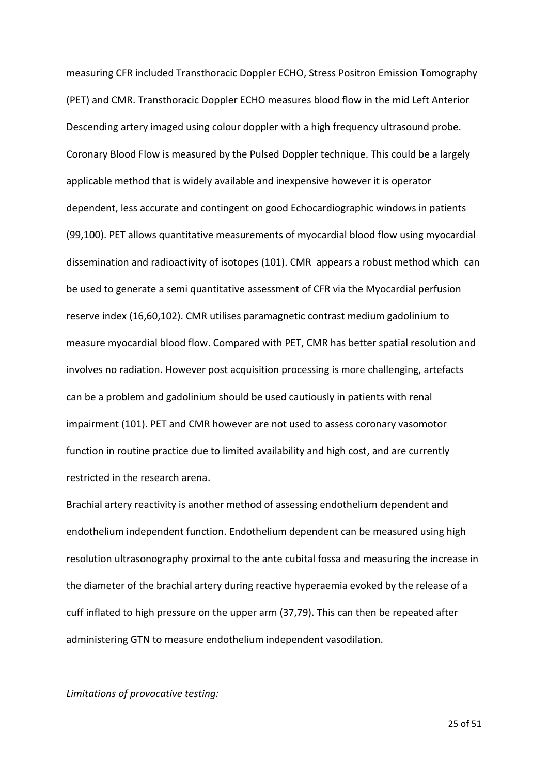measuring CFR included Transthoracic Doppler ECHO, Stress Positron Emission Tomography (PET) and CMR. Transthoracic Doppler ECHO measures blood flow in the mid Left Anterior Descending artery imaged using colour doppler with a high frequency ultrasound probe. Coronary Blood Flow is measured by the Pulsed Doppler technique. This could be a largely applicable method that is widely available and inexpensive however it is operator dependent, less accurate and contingent on good Echocardiographic windows in patients (99,100). PET allows quantitative measurements of myocardial blood flow using myocardial dissemination and radioactivity of isotopes (101). CMR appears a robust method which can be used to generate a semi quantitative assessment of CFR via the Myocardial perfusion reserve index (16,60,102). CMR utilises paramagnetic contrast medium gadolinium to measure myocardial blood flow. Compared with PET, CMR has better spatial resolution and involves no radiation. However post acquisition processing is more challenging, artefacts can be a problem and gadolinium should be used cautiously in patients with renal impairment (101). PET and CMR however are not used to assess coronary vasomotor function in routine practice due to limited availability and high cost, and are currently restricted in the research arena.

Brachial artery reactivity is another method of assessing endothelium dependent and endothelium independent function. Endothelium dependent can be measured using high resolution ultrasonography proximal to the ante cubital fossa and measuring the increase in the diameter of the brachial artery during reactive hyperaemia evoked by the release of a cuff inflated to high pressure on the upper arm (37,79). This can then be repeated after administering GTN to measure endothelium independent vasodilation.

*Limitations of provocative testing:*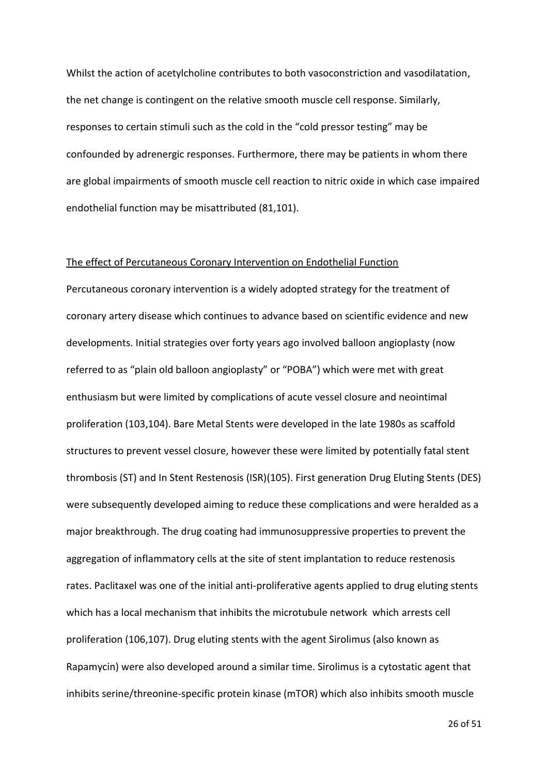Whilst the action of acetylcholine contributes to both vasoconstriction and vasodilatation, the net change is contingent on the relative smooth muscle cell response. Similarly, responses to certain stimuli such as the cold in the "cold pressor testing" may be confounded by adrenergic responses. Furthermore, there may be patients in whom there are global impairments of smooth muscle cell reaction to nitric oxide in which case impaired endothelial function may be misattributed (81,101).

#### The effect of Percutaneous Coronary Intervention on Endothelial Function

Percutaneous coronary intervention is a widely adopted strategy for the treatment of coronary artery disease which continues to advance based on scientific evidence and new developments. Initial strategies over forty years ago involved balloon angioplasty (now referred to as "plain old balloon angioplasty" or "POBA") which were met with great enthusiasm but were limited by complications of acute vessel closure and neointimal proliferation (103,104). Bare Metal Stents were developed in the late 1980s as scaffold structures to prevent vessel closure, however these were limited by potentially fatal stent thrombosis (ST) and In Stent Restenosis (ISR)(105). First generation Drug Eluting Stents (DES) were subsequently developed aiming to reduce these complications and were heralded as a major breakthrough. The drug coating had immunosuppressive properties to prevent the aggregation of inflammatory cells at the site of stent implantation to reduce restenosis rates. Paclitaxel was one of the initial anti-proliferative agents applied to drug eluting stents which has a local mechanism that inhibits the microtubule network which arrests cell proliferation (106,107). Drug eluting stents with the agent Sirolimus (also known as Rapamycin) were also developed around a similar time. Sirolimus is a cytostatic agent that inhibits serine/threonine-specific protein kinase (mTOR) which also inhibits smooth muscle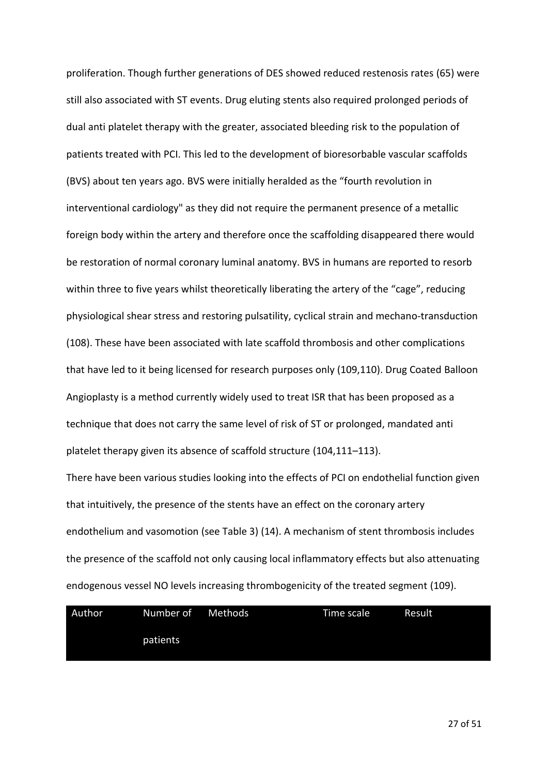proliferation. Though further generations of DES showed reduced restenosis rates (65) were still also associated with ST events. Drug eluting stents also required prolonged periods of dual anti platelet therapy with the greater, associated bleeding risk to the population of patients treated with PCI. This led to the development of bioresorbable vascular scaffolds (BVS) about ten years ago. BVS were initially heralded as the "fourth revolution in interventional cardiology" as they did not require the permanent presence of a metallic foreign body within the artery and therefore once the scaffolding disappeared there would be restoration of normal coronary luminal anatomy. BVS in humans are reported to resorb within three to five years whilst theoretically liberating the artery of the "cage", reducing physiological shear stress and restoring pulsatility, cyclical strain and mechano-transduction (108). These have been associated with late scaffold thrombosis and other complications that have led to it being licensed for research purposes only (109,110). Drug Coated Balloon Angioplasty is a method currently widely used to treat ISR that has been proposed as a technique that does not carry the same level of risk of ST or prolonged, mandated anti platelet therapy given its absence of scaffold structure (104,111–113).

There have been various studies looking into the effects of PCI on endothelial function given that intuitively, the presence of the stents have an effect on the coronary artery endothelium and vasomotion (see Table 3) (14). A mechanism of stent thrombosis includes the presence of the scaffold not only causing local inflammatory effects but also attenuating endogenous vessel NO levels increasing thrombogenicity of the treated segment (109).

| Author | Number of | Methods | Time scale | Result |
|--------|-----------|---------|------------|--------|
|        | patients  |         |            |        |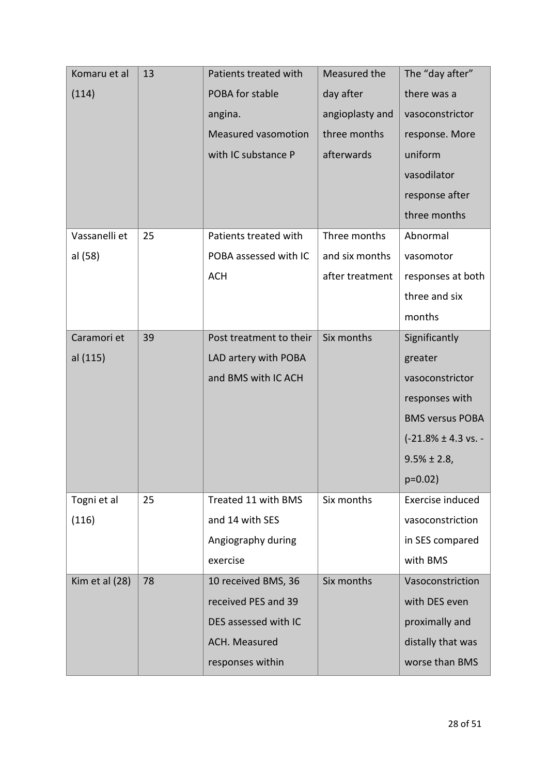| Komaru et al   | 13 | Patients treated with      | Measured the    | The "day after"                  |
|----------------|----|----------------------------|-----------------|----------------------------------|
| (114)          |    | POBA for stable            | day after       | there was a                      |
|                |    | angina.                    | angioplasty and | vasoconstrictor                  |
|                |    | <b>Measured vasomotion</b> | three months    | response. More                   |
|                |    | with IC substance P        | afterwards      | uniform                          |
|                |    |                            |                 | vasodilator                      |
|                |    |                            |                 | response after                   |
|                |    |                            |                 | three months                     |
| Vassanelli et  | 25 | Patients treated with      | Three months    | Abnormal                         |
| al (58)        |    | POBA assessed with IC      | and six months  | vasomotor                        |
|                |    | <b>ACH</b>                 | after treatment | responses at both                |
|                |    |                            |                 | three and six                    |
|                |    |                            |                 | months                           |
| Caramori et    | 39 | Post treatment to their    | Six months      | Significantly                    |
| al (115)       |    | LAD artery with POBA       |                 | greater                          |
|                |    | and BMS with IC ACH        |                 | vasoconstrictor                  |
|                |    |                            |                 | responses with                   |
|                |    |                            |                 | <b>BMS versus POBA</b>           |
|                |    |                            |                 | $(-21.8\% \pm 4.3 \text{ vs.} -$ |
|                |    |                            |                 | $9.5\% \pm 2.8$ ,                |
|                |    |                            |                 | $p=0.02$ )                       |
| Togni et al    | 25 | Treated 11 with BMS        | Six months      | Exercise induced                 |
| (116)          |    | and 14 with SES            |                 | vasoconstriction                 |
|                |    | Angiography during         |                 | in SES compared                  |
|                |    | exercise                   |                 | with BMS                         |
| Kim et al (28) | 78 | 10 received BMS, 36        | Six months      | Vasoconstriction                 |
|                |    | received PES and 39        |                 | with DES even                    |
|                |    | DES assessed with IC       |                 | proximally and                   |
|                |    | ACH. Measured              |                 | distally that was                |
|                |    | responses within           |                 | worse than BMS                   |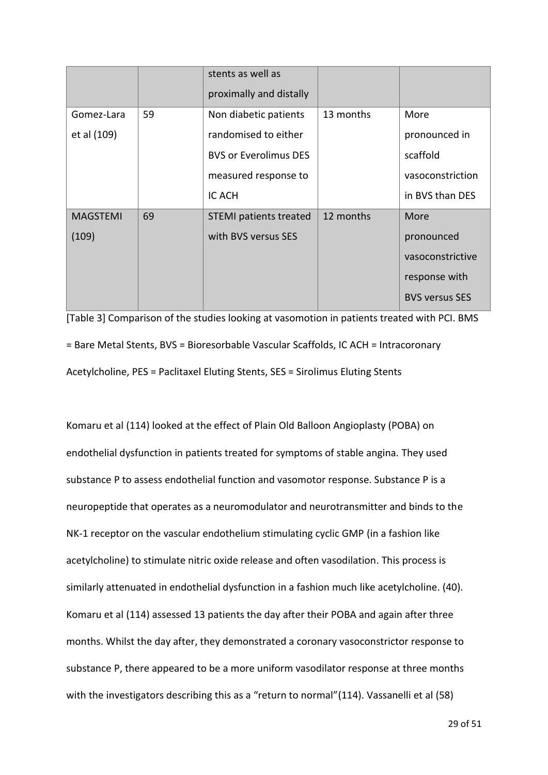|                 |    | stents as well as<br>proximally and distally |           |                       |
|-----------------|----|----------------------------------------------|-----------|-----------------------|
| Gomez-Lara      | 59 | Non diabetic patients                        | 13 months | More                  |
| et al (109)     |    | randomised to either                         |           | pronounced in         |
|                 |    | <b>BVS or Everolimus DES</b>                 |           | scaffold              |
|                 |    | measured response to                         |           | vasoconstriction      |
|                 |    | IC ACH                                       |           | in BVS than DES       |
| <b>MAGSTEMI</b> | 69 | <b>STEMI</b> patients treated                | 12 months | More                  |
| (109)           |    | with BVS versus SES                          |           | pronounced            |
|                 |    |                                              |           | vasoconstrictive      |
|                 |    |                                              |           | response with         |
|                 |    |                                              |           | <b>BVS versus SES</b> |

[Table 3] Comparison of the studies looking at vasomotion in patients treated with PCI. BMS = Bare Metal Stents, BVS = Bioresorbable Vascular Scaffolds, IC ACH = Intracoronary Acetylcholine, PES = Paclitaxel Eluting Stents, SES = Sirolimus Eluting Stents

Komaru et al (114) looked at the effect of Plain Old Balloon Angioplasty (POBA) on endothelial dysfunction in patients treated for symptoms of stable angina. They used substance P to assess endothelial function and vasomotor response. Substance P is a neuropeptide that operates as a neuromodulator and neurotransmitter and binds to the NK-1 receptor on the vascular endothelium stimulating cyclic GMP (in a fashion like acetylcholine) to stimulate nitric oxide release and often vasodilation. This process is similarly attenuated in endothelial dysfunction in a fashion much like acetylcholine. (40). Komaru et al (114) assessed 13 patients the day after their POBA and again after three months. Whilst the day after, they demonstrated a coronary vasoconstrictor response to substance P, there appeared to be a more uniform vasodilator response at three months with the investigators describing this as a "return to normal" (114). Vassanelli et al (58)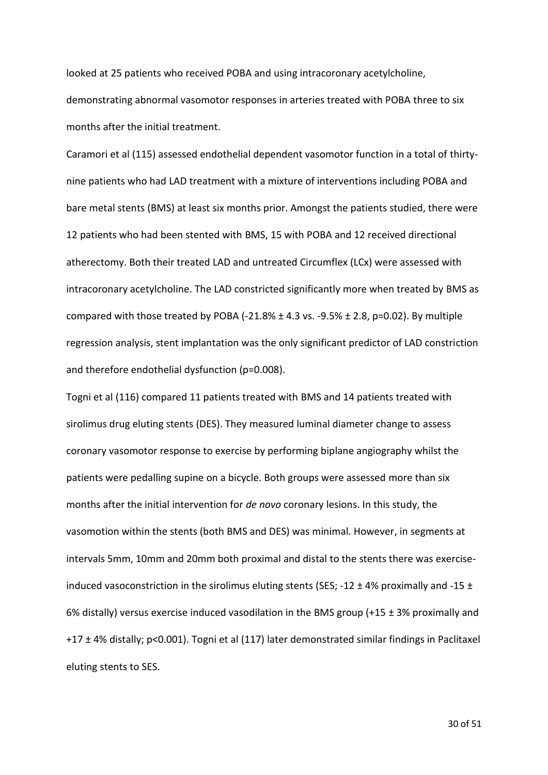looked at 25 patients who received POBA and using intracoronary acetylcholine, demonstrating abnormal vasomotor responses in arteries treated with POBA three to six months after the initial treatment.

Caramori et al (115) assessed endothelial dependent vasomotor function in a total of thirtynine patients who had LAD treatment with a mixture of interventions including POBA and bare metal stents (BMS) at least six months prior. Amongst the patients studied, there were 12 patients who had been stented with BMS, 15 with POBA and 12 received directional atherectomy. Both their treated LAD and untreated Circumflex (LCx) were assessed with intracoronary acetylcholine. The LAD constricted significantly more when treated by BMS as compared with those treated by POBA (-21.8%  $\pm$  4.3 vs. -9.5%  $\pm$  2.8, p=0.02). By multiple regression analysis, stent implantation was the only significant predictor of LAD constriction and therefore endothelial dysfunction (p=0.008).

Togni et al (116) compared 11 patients treated with BMS and 14 patients treated with sirolimus drug eluting stents (DES). They measured luminal diameter change to assess coronary vasomotor response to exercise by performing biplane angiography whilst the patients were pedalling supine on a bicycle. Both groups were assessed more than six months after the initial intervention for *de novo* coronary lesions. In this study, the vasomotion within the stents (both BMS and DES) was minimal. However, in segments at intervals 5mm, 10mm and 20mm both proximal and distal to the stents there was exerciseinduced vasoconstriction in the sirolimus eluting stents (SES; -12  $\pm$  4% proximally and -15  $\pm$ 6% distally) versus exercise induced vasodilation in the BMS group (+15  $\pm$  3% proximally and +17 ± 4% distally; p<0.001). Togni et al (117) later demonstrated similar findings in Paclitaxel eluting stents to SES.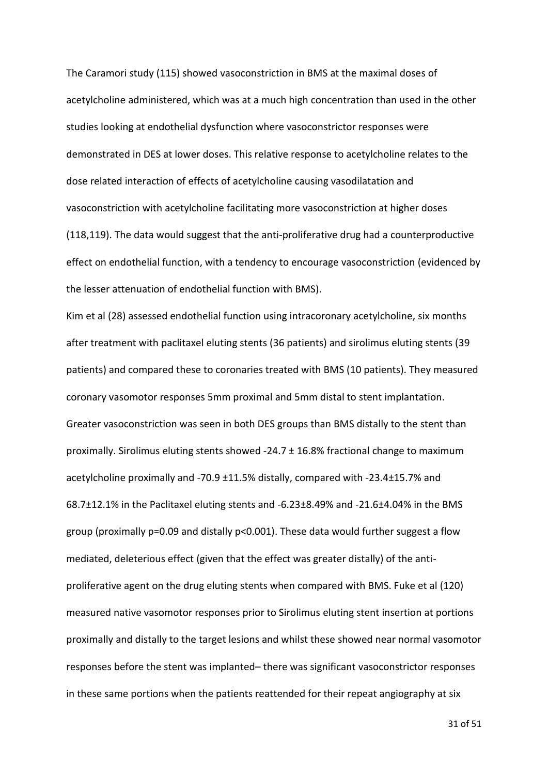The Caramori study (115) showed vasoconstriction in BMS at the maximal doses of acetylcholine administered, which was at a much high concentration than used in the other studies looking at endothelial dysfunction where vasoconstrictor responses were demonstrated in DES at lower doses. This relative response to acetylcholine relates to the dose related interaction of effects of acetylcholine causing vasodilatation and vasoconstriction with acetylcholine facilitating more vasoconstriction at higher doses (118,119). The data would suggest that the anti-proliferative drug had a counterproductive effect on endothelial function, with a tendency to encourage vasoconstriction (evidenced by the lesser attenuation of endothelial function with BMS).

Kim et al (28) assessed endothelial function using intracoronary acetylcholine, six months after treatment with paclitaxel eluting stents (36 patients) and sirolimus eluting stents (39 patients) and compared these to coronaries treated with BMS (10 patients). They measured coronary vasomotor responses 5mm proximal and 5mm distal to stent implantation. Greater vasoconstriction was seen in both DES groups than BMS distally to the stent than proximally. Sirolimus eluting stents showed -24.7 ± 16.8% fractional change to maximum acetylcholine proximally and -70.9 ±11.5% distally, compared with -23.4±15.7% and 68.7±12.1% in the Paclitaxel eluting stents and -6.23±8.49% and -21.6±4.04% in the BMS group (proximally p=0.09 and distally p<0.001). These data would further suggest a flow mediated, deleterious effect (given that the effect was greater distally) of the antiproliferative agent on the drug eluting stents when compared with BMS. Fuke et al (120) measured native vasomotor responses prior to Sirolimus eluting stent insertion at portions proximally and distally to the target lesions and whilst these showed near normal vasomotor responses before the stent was implanted– there was significant vasoconstrictor responses in these same portions when the patients reattended for their repeat angiography at six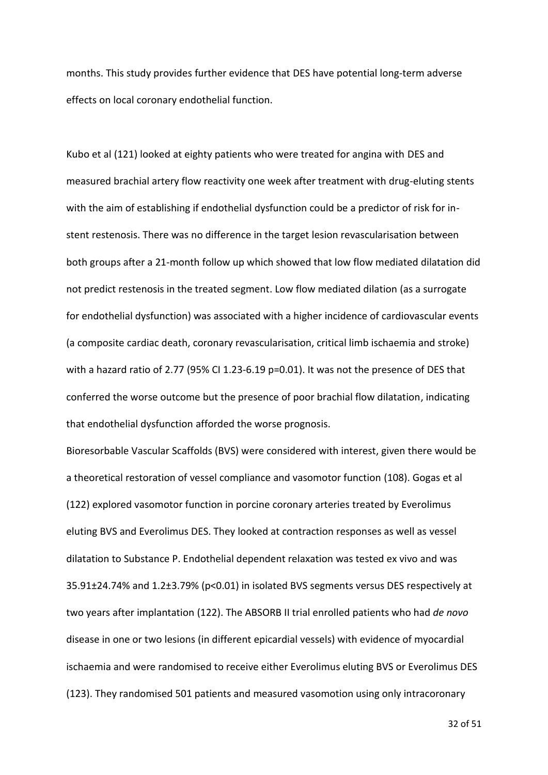months. This study provides further evidence that DES have potential long-term adverse effects on local coronary endothelial function.

Kubo et al (121) looked at eighty patients who were treated for angina with DES and measured brachial artery flow reactivity one week after treatment with drug-eluting stents with the aim of establishing if endothelial dysfunction could be a predictor of risk for instent restenosis. There was no difference in the target lesion revascularisation between both groups after a 21-month follow up which showed that low flow mediated dilatation did not predict restenosis in the treated segment. Low flow mediated dilation (as a surrogate for endothelial dysfunction) was associated with a higher incidence of cardiovascular events (a composite cardiac death, coronary revascularisation, critical limb ischaemia and stroke) with a hazard ratio of 2.77 (95% CI 1.23-6.19 p=0.01). It was not the presence of DES that conferred the worse outcome but the presence of poor brachial flow dilatation, indicating that endothelial dysfunction afforded the worse prognosis.

Bioresorbable Vascular Scaffolds (BVS) were considered with interest, given there would be a theoretical restoration of vessel compliance and vasomotor function (108). Gogas et al (122) explored vasomotor function in porcine coronary arteries treated by Everolimus eluting BVS and Everolimus DES. They looked at contraction responses as well as vessel dilatation to Substance P. Endothelial dependent relaxation was tested ex vivo and was 35.91±24.74% and 1.2±3.79% (p<0.01) in isolated BVS segments versus DES respectively at two years after implantation (122). The ABSORB II trial enrolled patients who had *de novo* disease in one or two lesions (in different epicardial vessels) with evidence of myocardial ischaemia and were randomised to receive either Everolimus eluting BVS or Everolimus DES (123). They randomised 501 patients and measured vasomotion using only intracoronary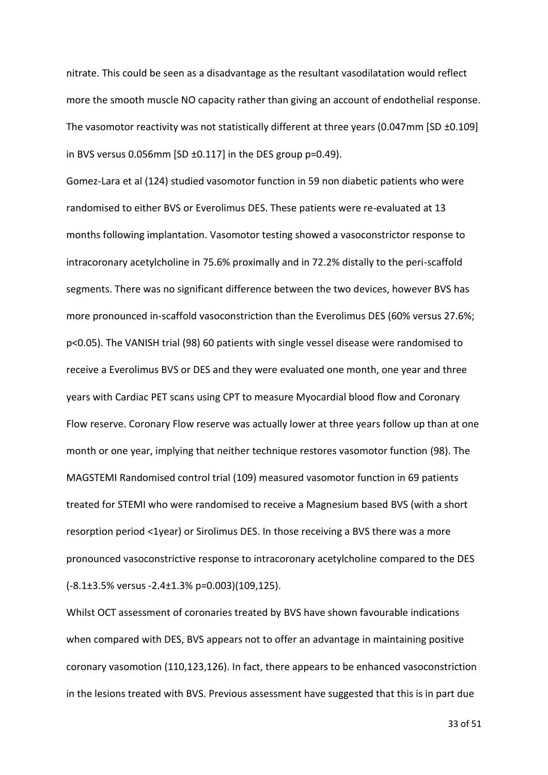nitrate. This could be seen as a disadvantage as the resultant vasodilatation would reflect more the smooth muscle NO capacity rather than giving an account of endothelial response. The vasomotor reactivity was not statistically different at three years (0.047mm [SD  $\pm$ 0.109] in BVS versus 0.056mm [SD ±0.117] in the DES group p=0.49).

Gomez-Lara et al (124) studied vasomotor function in 59 non diabetic patients who were randomised to either BVS or Everolimus DES. These patients were re-evaluated at 13 months following implantation. Vasomotor testing showed a vasoconstrictor response to intracoronary acetylcholine in 75.6% proximally and in 72.2% distally to the peri-scaffold segments. There was no significant difference between the two devices, however BVS has more pronounced in-scaffold vasoconstriction than the Everolimus DES (60% versus 27.6%; p<0.05). The VANISH trial (98) 60 patients with single vessel disease were randomised to receive a Everolimus BVS or DES and they were evaluated one month, one year and three years with Cardiac PET scans using CPT to measure Myocardial blood flow and Coronary Flow reserve. Coronary Flow reserve was actually lower at three years follow up than at one month or one year, implying that neither technique restores vasomotor function (98). The MAGSTEMI Randomised control trial (109) measured vasomotor function in 69 patients treated for STEMI who were randomised to receive a Magnesium based BVS (with a short resorption period <1year) or Sirolimus DES. In those receiving a BVS there was a more pronounced vasoconstrictive response to intracoronary acetylcholine compared to the DES (-8.1±3.5% versus -2.4±1.3% p=0.003)(109,125).

Whilst OCT assessment of coronaries treated by BVS have shown favourable indications when compared with DES, BVS appears not to offer an advantage in maintaining positive coronary vasomotion (110,123,126). In fact, there appears to be enhanced vasoconstriction in the lesions treated with BVS. Previous assessment have suggested that this is in part due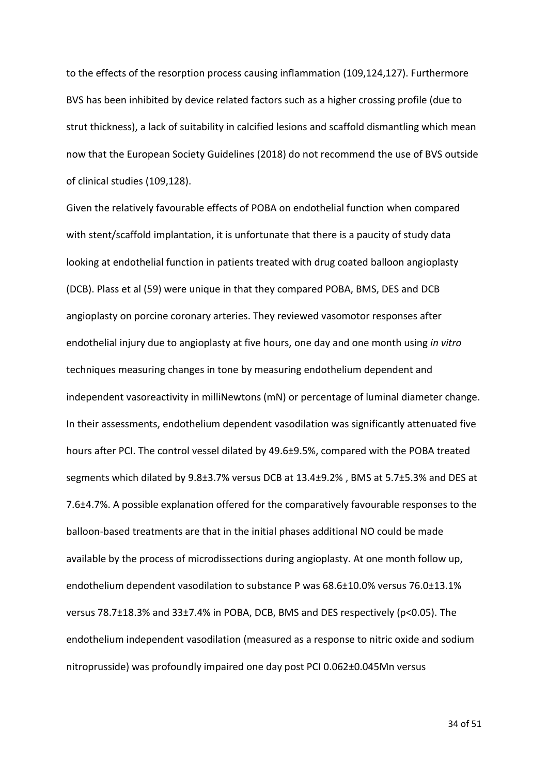to the effects of the resorption process causing inflammation (109,124,127). Furthermore BVS has been inhibited by device related factors such as a higher crossing profile (due to strut thickness), a lack of suitability in calcified lesions and scaffold dismantling which mean now that the European Society Guidelines (2018) do not recommend the use of BVS outside of clinical studies (109,128).

Given the relatively favourable effects of POBA on endothelial function when compared with stent/scaffold implantation, it is unfortunate that there is a paucity of study data looking at endothelial function in patients treated with drug coated balloon angioplasty (DCB). Plass et al (59) were unique in that they compared POBA, BMS, DES and DCB angioplasty on porcine coronary arteries. They reviewed vasomotor responses after endothelial injury due to angioplasty at five hours, one day and one month using *in vitro* techniques measuring changes in tone by measuring endothelium dependent and independent vasoreactivity in milliNewtons (mN) or percentage of luminal diameter change. In their assessments, endothelium dependent vasodilation was significantly attenuated five hours after PCI. The control vessel dilated by 49.6±9.5%, compared with the POBA treated segments which dilated by 9.8±3.7% versus DCB at 13.4±9.2% , BMS at 5.7±5.3% and DES at 7.6±4.7%. A possible explanation offered for the comparatively favourable responses to the balloon-based treatments are that in the initial phases additional NO could be made available by the process of microdissections during angioplasty. At one month follow up, endothelium dependent vasodilation to substance P was 68.6±10.0% versus 76.0±13.1% versus 78.7±18.3% and 33±7.4% in POBA, DCB, BMS and DES respectively (p<0.05). The endothelium independent vasodilation (measured as a response to nitric oxide and sodium nitroprusside) was profoundly impaired one day post PCI 0.062±0.045Mn versus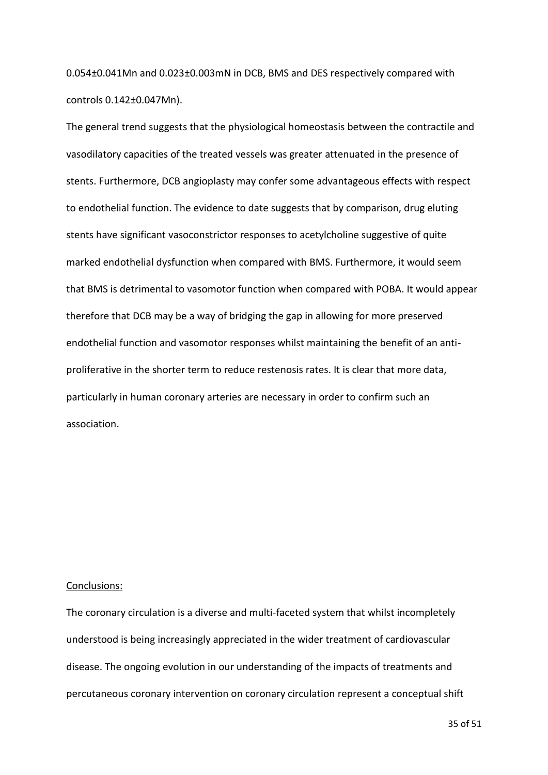0.054±0.041Mn and 0.023±0.003mN in DCB, BMS and DES respectively compared with controls 0.142±0.047Mn).

The general trend suggests that the physiological homeostasis between the contractile and vasodilatory capacities of the treated vessels was greater attenuated in the presence of stents. Furthermore, DCB angioplasty may confer some advantageous effects with respect to endothelial function. The evidence to date suggests that by comparison, drug eluting stents have significant vasoconstrictor responses to acetylcholine suggestive of quite marked endothelial dysfunction when compared with BMS. Furthermore, it would seem that BMS is detrimental to vasomotor function when compared with POBA. It would appear therefore that DCB may be a way of bridging the gap in allowing for more preserved endothelial function and vasomotor responses whilst maintaining the benefit of an antiproliferative in the shorter term to reduce restenosis rates. It is clear that more data, particularly in human coronary arteries are necessary in order to confirm such an association.

#### Conclusions:

The coronary circulation is a diverse and multi-faceted system that whilst incompletely understood is being increasingly appreciated in the wider treatment of cardiovascular disease. The ongoing evolution in our understanding of the impacts of treatments and percutaneous coronary intervention on coronary circulation represent a conceptual shift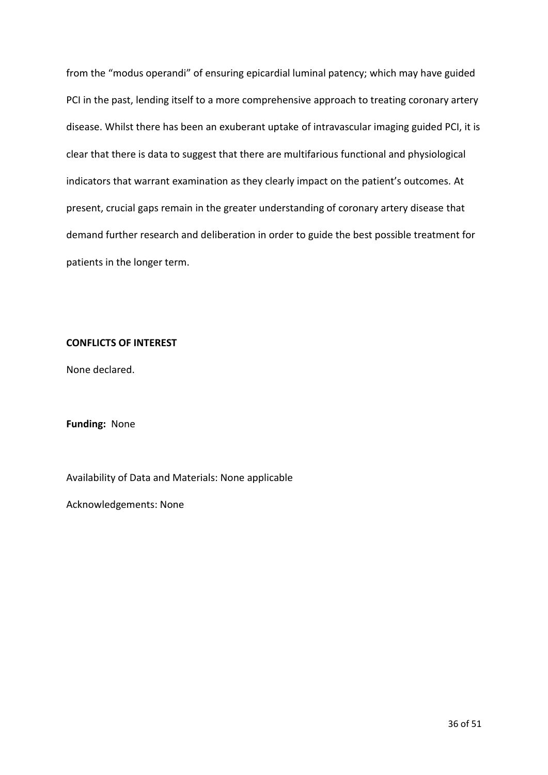from the "modus operandi" of ensuring epicardial luminal patency; which may have guided PCI in the past, lending itself to a more comprehensive approach to treating coronary artery disease. Whilst there has been an exuberant uptake of intravascular imaging guided PCI, it is clear that there is data to suggest that there are multifarious functional and physiological indicators that warrant examination as they clearly impact on the patient's outcomes. At present, crucial gaps remain in the greater understanding of coronary artery disease that demand further research and deliberation in order to guide the best possible treatment for patients in the longer term.

## **CONFLICTS OF INTEREST**

None declared.

#### **Funding:** None

Availability of Data and Materials: None applicable

Acknowledgements: None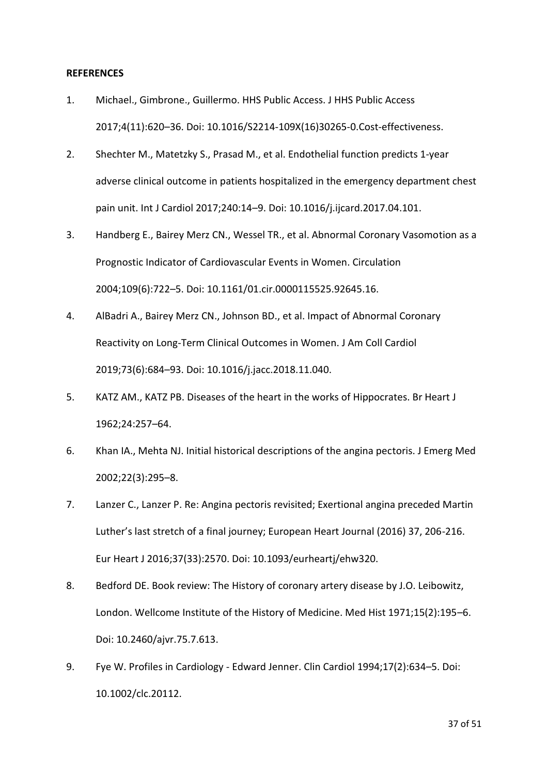#### **REFERENCES**

- 1. Michael., Gimbrone., Guillermo. HHS Public Access. J HHS Public Access 2017;4(11):620–36. Doi: 10.1016/S2214-109X(16)30265-0.Cost-effectiveness.
- 2. Shechter M., Matetzky S., Prasad M., et al. Endothelial function predicts 1-year adverse clinical outcome in patients hospitalized in the emergency department chest pain unit. Int J Cardiol 2017;240:14–9. Doi: 10.1016/j.ijcard.2017.04.101.
- 3. Handberg E., Bairey Merz CN., Wessel TR., et al. Abnormal Coronary Vasomotion as a Prognostic Indicator of Cardiovascular Events in Women. Circulation 2004;109(6):722–5. Doi: 10.1161/01.cir.0000115525.92645.16.
- 4. AlBadri A., Bairey Merz CN., Johnson BD., et al. Impact of Abnormal Coronary Reactivity on Long-Term Clinical Outcomes in Women. J Am Coll Cardiol 2019;73(6):684–93. Doi: 10.1016/j.jacc.2018.11.040.
- 5. KATZ AM., KATZ PB. Diseases of the heart in the works of Hippocrates. Br Heart J 1962;24:257–64.
- 6. Khan IA., Mehta NJ. Initial historical descriptions of the angina pectoris. J Emerg Med 2002;22(3):295–8.
- 7. Lanzer C., Lanzer P. Re: Angina pectoris revisited; Exertional angina preceded Martin Luther's last stretch of a final journey; European Heart Journal (2016) 37, 206-216. Eur Heart J 2016;37(33):2570. Doi: 10.1093/eurheartj/ehw320.
- 8. Bedford DE. Book review: The History of coronary artery disease by J.O. Leibowitz, London. Wellcome Institute of the History of Medicine. Med Hist 1971;15(2):195–6. Doi: 10.2460/ajvr.75.7.613.
- 9. Fye W. Profiles in Cardiology Edward Jenner. Clin Cardiol 1994;17(2):634–5. Doi: 10.1002/clc.20112.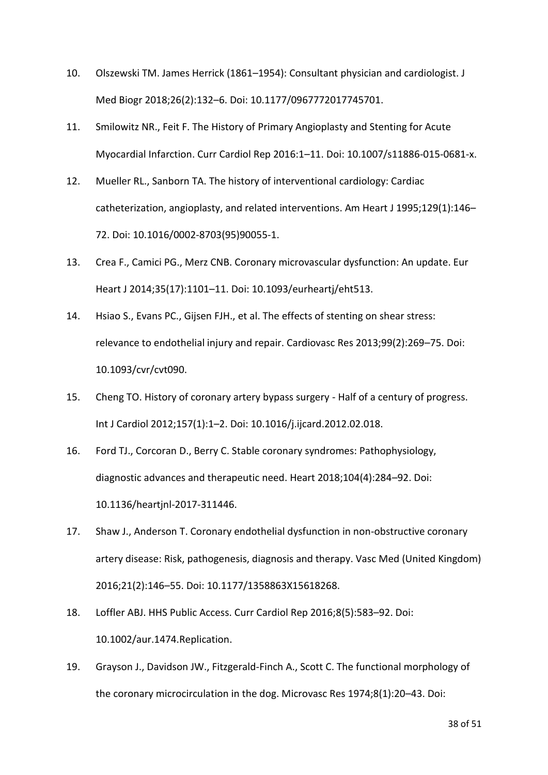- 10. Olszewski TM. James Herrick (1861–1954): Consultant physician and cardiologist. J Med Biogr 2018;26(2):132–6. Doi: 10.1177/0967772017745701.
- 11. Smilowitz NR., Feit F. The History of Primary Angioplasty and Stenting for Acute Myocardial Infarction. Curr Cardiol Rep 2016:1–11. Doi: 10.1007/s11886-015-0681-x.
- 12. Mueller RL., Sanborn TA. The history of interventional cardiology: Cardiac catheterization, angioplasty, and related interventions. Am Heart J 1995;129(1):146– 72. Doi: 10.1016/0002-8703(95)90055-1.
- 13. Crea F., Camici PG., Merz CNB. Coronary microvascular dysfunction: An update. Eur Heart J 2014;35(17):1101–11. Doi: 10.1093/eurheartj/eht513.
- 14. Hsiao S., Evans PC., Gijsen FJH., et al. The effects of stenting on shear stress: relevance to endothelial injury and repair. Cardiovasc Res 2013;99(2):269–75. Doi: 10.1093/cvr/cvt090.
- 15. Cheng TO. History of coronary artery bypass surgery Half of a century of progress. Int J Cardiol 2012;157(1):1–2. Doi: 10.1016/j.ijcard.2012.02.018.
- 16. Ford TJ., Corcoran D., Berry C. Stable coronary syndromes: Pathophysiology, diagnostic advances and therapeutic need. Heart 2018;104(4):284–92. Doi: 10.1136/heartjnl-2017-311446.
- 17. Shaw J., Anderson T. Coronary endothelial dysfunction in non-obstructive coronary artery disease: Risk, pathogenesis, diagnosis and therapy. Vasc Med (United Kingdom) 2016;21(2):146–55. Doi: 10.1177/1358863X15618268.
- 18. Loffler ABJ. HHS Public Access. Curr Cardiol Rep 2016;8(5):583–92. Doi: 10.1002/aur.1474.Replication.
- 19. Grayson J., Davidson JW., Fitzgerald-Finch A., Scott C. The functional morphology of the coronary microcirculation in the dog. Microvasc Res 1974;8(1):20–43. Doi: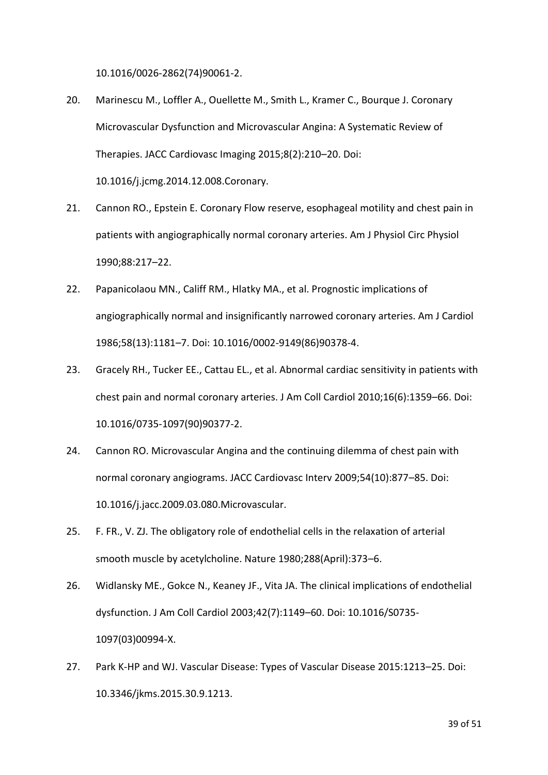10.1016/0026-2862(74)90061-2.

- 20. Marinescu M., Loffler A., Ouellette M., Smith L., Kramer C., Bourque J. Coronary Microvascular Dysfunction and Microvascular Angina: A Systematic Review of Therapies. JACC Cardiovasc Imaging 2015;8(2):210–20. Doi: 10.1016/j.jcmg.2014.12.008.Coronary.
- 21. Cannon RO., Epstein E. Coronary Flow reserve, esophageal motility and chest pain in patients with angiographically normal coronary arteries. Am J Physiol Circ Physiol 1990;88:217–22.
- 22. Papanicolaou MN., Califf RM., Hlatky MA., et al. Prognostic implications of angiographically normal and insignificantly narrowed coronary arteries. Am J Cardiol 1986;58(13):1181–7. Doi: 10.1016/0002-9149(86)90378-4.
- 23. Gracely RH., Tucker EE., Cattau EL., et al. Abnormal cardiac sensitivity in patients with chest pain and normal coronary arteries. J Am Coll Cardiol 2010;16(6):1359–66. Doi: 10.1016/0735-1097(90)90377-2.
- 24. Cannon RO. Microvascular Angina and the continuing dilemma of chest pain with normal coronary angiograms. JACC Cardiovasc Interv 2009;54(10):877–85. Doi: 10.1016/j.jacc.2009.03.080.Microvascular.
- 25. F. FR., V. ZJ. The obligatory role of endothelial cells in the relaxation of arterial smooth muscle by acetylcholine. Nature 1980;288(April):373–6.
- 26. Widlansky ME., Gokce N., Keaney JF., Vita JA. The clinical implications of endothelial dysfunction. J Am Coll Cardiol 2003;42(7):1149–60. Doi: 10.1016/S0735- 1097(03)00994-X.
- 27. Park K-HP and WJ. Vascular Disease: Types of Vascular Disease 2015:1213–25. Doi: 10.3346/jkms.2015.30.9.1213.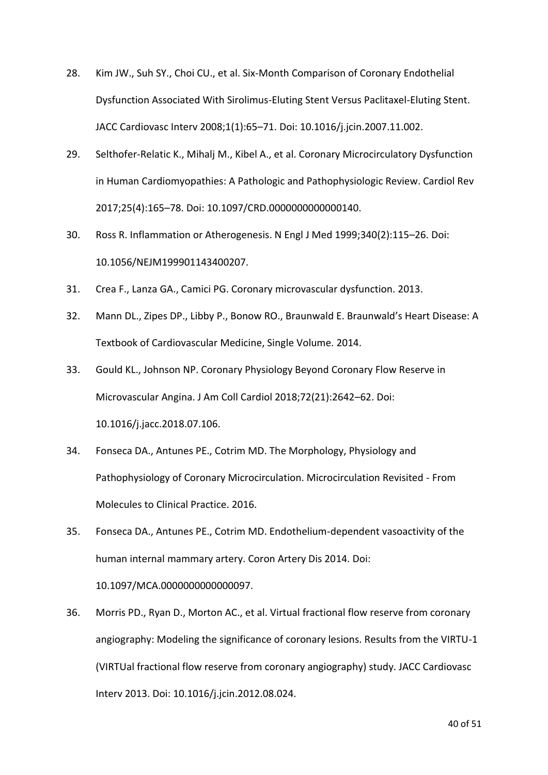- 28. Kim JW., Suh SY., Choi CU., et al. Six-Month Comparison of Coronary Endothelial Dysfunction Associated With Sirolimus-Eluting Stent Versus Paclitaxel-Eluting Stent. JACC Cardiovasc Interv 2008;1(1):65–71. Doi: 10.1016/j.jcin.2007.11.002.
- 29. Selthofer-Relatic K., Mihalj M., Kibel A., et al. Coronary Microcirculatory Dysfunction in Human Cardiomyopathies: A Pathologic and Pathophysiologic Review. Cardiol Rev 2017;25(4):165–78. Doi: 10.1097/CRD.0000000000000140.
- 30. Ross R. Inflammation or Atherogenesis. N Engl J Med 1999;340(2):115–26. Doi: 10.1056/NEJM199901143400207.
- 31. Crea F., Lanza GA., Camici PG. Coronary microvascular dysfunction. 2013.
- 32. Mann DL., Zipes DP., Libby P., Bonow RO., Braunwald E. Braunwald's Heart Disease: A Textbook of Cardiovascular Medicine, Single Volume. 2014.
- 33. Gould KL., Johnson NP. Coronary Physiology Beyond Coronary Flow Reserve in Microvascular Angina. J Am Coll Cardiol 2018;72(21):2642–62. Doi: 10.1016/j.jacc.2018.07.106.
- 34. Fonseca DA., Antunes PE., Cotrim MD. The Morphology, Physiology and Pathophysiology of Coronary Microcirculation. Microcirculation Revisited - From Molecules to Clinical Practice. 2016.
- 35. Fonseca DA., Antunes PE., Cotrim MD. Endothelium-dependent vasoactivity of the human internal mammary artery. Coron Artery Dis 2014. Doi: 10.1097/MCA.0000000000000097.
- 36. Morris PD., Ryan D., Morton AC., et al. Virtual fractional flow reserve from coronary angiography: Modeling the significance of coronary lesions. Results from the VIRTU-1 (VIRTUal fractional flow reserve from coronary angiography) study. JACC Cardiovasc Interv 2013. Doi: 10.1016/j.jcin.2012.08.024.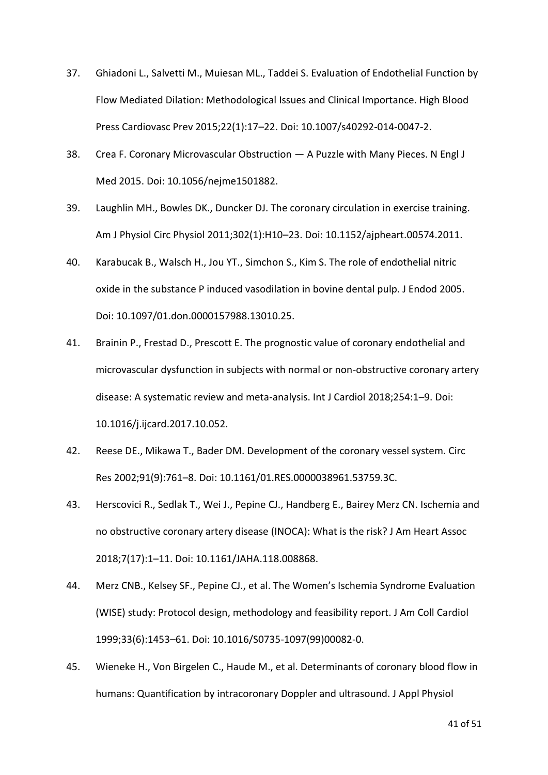- 37. Ghiadoni L., Salvetti M., Muiesan ML., Taddei S. Evaluation of Endothelial Function by Flow Mediated Dilation: Methodological Issues and Clinical Importance. High Blood Press Cardiovasc Prev 2015;22(1):17–22. Doi: 10.1007/s40292-014-0047-2.
- 38. Crea F. Coronary Microvascular Obstruction A Puzzle with Many Pieces. N Engl J Med 2015. Doi: 10.1056/nejme1501882.
- 39. Laughlin MH., Bowles DK., Duncker DJ. The coronary circulation in exercise training. Am J Physiol Circ Physiol 2011;302(1):H10–23. Doi: 10.1152/ajpheart.00574.2011.
- 40. Karabucak B., Walsch H., Jou YT., Simchon S., Kim S. The role of endothelial nitric oxide in the substance P induced vasodilation in bovine dental pulp. J Endod 2005. Doi: 10.1097/01.don.0000157988.13010.25.
- 41. Brainin P., Frestad D., Prescott E. The prognostic value of coronary endothelial and microvascular dysfunction in subjects with normal or non-obstructive coronary artery disease: A systematic review and meta-analysis. Int J Cardiol 2018;254:1–9. Doi: 10.1016/j.ijcard.2017.10.052.
- 42. Reese DE., Mikawa T., Bader DM. Development of the coronary vessel system. Circ Res 2002;91(9):761–8. Doi: 10.1161/01.RES.0000038961.53759.3C.
- 43. Herscovici R., Sedlak T., Wei J., Pepine CJ., Handberg E., Bairey Merz CN. Ischemia and no obstructive coronary artery disease (INOCA): What is the risk? J Am Heart Assoc 2018;7(17):1–11. Doi: 10.1161/JAHA.118.008868.
- 44. Merz CNB., Kelsey SF., Pepine CJ., et al. The Women's Ischemia Syndrome Evaluation (WISE) study: Protocol design, methodology and feasibility report. J Am Coll Cardiol 1999;33(6):1453–61. Doi: 10.1016/S0735-1097(99)00082-0.
- 45. Wieneke H., Von Birgelen C., Haude M., et al. Determinants of coronary blood flow in humans: Quantification by intracoronary Doppler and ultrasound. J Appl Physiol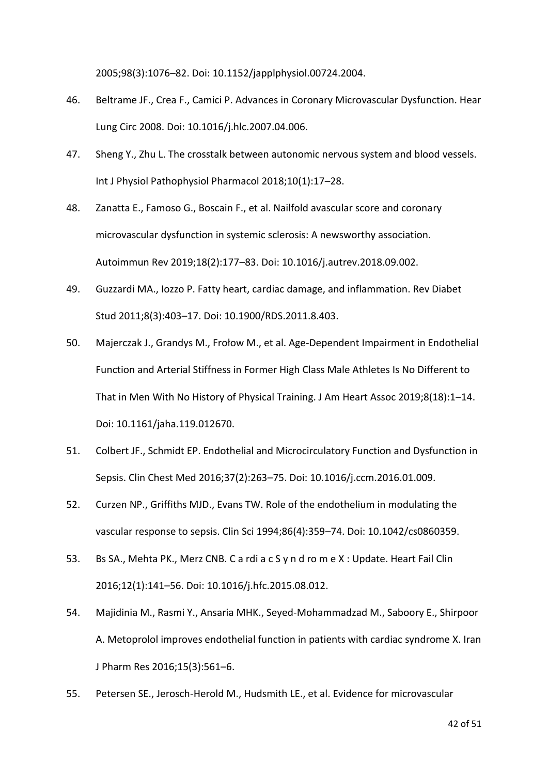2005;98(3):1076–82. Doi: 10.1152/japplphysiol.00724.2004.

- 46. Beltrame JF., Crea F., Camici P. Advances in Coronary Microvascular Dysfunction. Hear Lung Circ 2008. Doi: 10.1016/j.hlc.2007.04.006.
- 47. Sheng Y., Zhu L. The crosstalk between autonomic nervous system and blood vessels. Int J Physiol Pathophysiol Pharmacol 2018;10(1):17–28.
- 48. Zanatta E., Famoso G., Boscain F., et al. Nailfold avascular score and coronary microvascular dysfunction in systemic sclerosis: A newsworthy association. Autoimmun Rev 2019;18(2):177–83. Doi: 10.1016/j.autrev.2018.09.002.
- 49. Guzzardi MA., Iozzo P. Fatty heart, cardiac damage, and inflammation. Rev Diabet Stud 2011;8(3):403–17. Doi: 10.1900/RDS.2011.8.403.
- 50. Majerczak J., Grandys M., Frołow M., et al. Age‐Dependent Impairment in Endothelial Function and Arterial Stiffness in Former High Class Male Athletes Is No Different to That in Men With No History of Physical Training. J Am Heart Assoc 2019;8(18):1–14. Doi: 10.1161/jaha.119.012670.
- 51. Colbert JF., Schmidt EP. Endothelial and Microcirculatory Function and Dysfunction in Sepsis. Clin Chest Med 2016;37(2):263–75. Doi: 10.1016/j.ccm.2016.01.009.
- 52. Curzen NP., Griffiths MJD., Evans TW. Role of the endothelium in modulating the vascular response to sepsis. Clin Sci 1994;86(4):359–74. Doi: 10.1042/cs0860359.
- 53. Bs SA., Mehta PK., Merz CNB. C a rdi a c S y n d ro m e X : Update. Heart Fail Clin 2016;12(1):141–56. Doi: 10.1016/j.hfc.2015.08.012.
- 54. Majidinia M., Rasmi Y., Ansaria MHK., Seyed-Mohammadzad M., Saboory E., Shirpoor A. Metoprolol improves endothelial function in patients with cardiac syndrome X. Iran J Pharm Res 2016;15(3):561–6.
- 55. Petersen SE., Jerosch-Herold M., Hudsmith LE., et al. Evidence for microvascular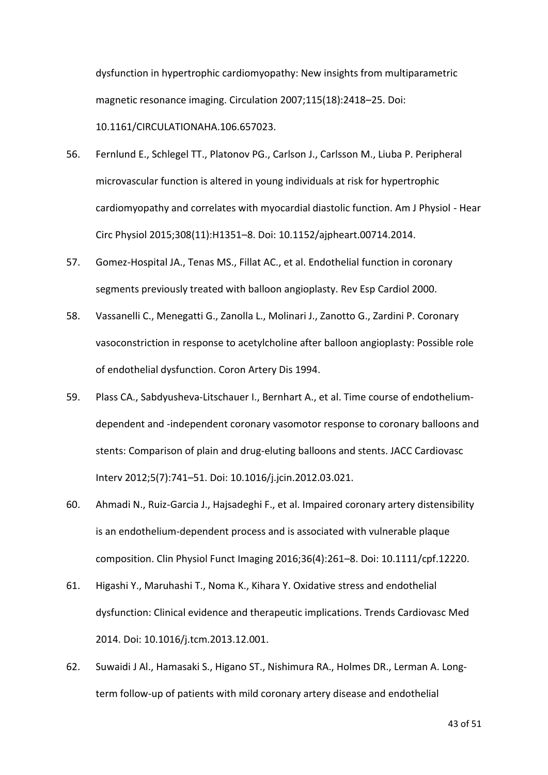dysfunction in hypertrophic cardiomyopathy: New insights from multiparametric magnetic resonance imaging. Circulation 2007;115(18):2418–25. Doi: 10.1161/CIRCULATIONAHA.106.657023.

- 56. Fernlund E., Schlegel TT., Platonov PG., Carlson J., Carlsson M., Liuba P. Peripheral microvascular function is altered in young individuals at risk for hypertrophic cardiomyopathy and correlates with myocardial diastolic function. Am J Physiol - Hear Circ Physiol 2015;308(11):H1351–8. Doi: 10.1152/ajpheart.00714.2014.
- 57. Gomez-Hospital JA., Tenas MS., Fillat AC., et al. Endothelial function in coronary segments previously treated with balloon angioplasty. Rev Esp Cardiol 2000.
- 58. Vassanelli C., Menegatti G., Zanolla L., Molinari J., Zanotto G., Zardini P. Coronary vasoconstriction in response to acetylcholine after balloon angioplasty: Possible role of endothelial dysfunction. Coron Artery Dis 1994.
- 59. Plass CA., Sabdyusheva-Litschauer I., Bernhart A., et al. Time course of endotheliumdependent and -independent coronary vasomotor response to coronary balloons and stents: Comparison of plain and drug-eluting balloons and stents. JACC Cardiovasc Interv 2012;5(7):741–51. Doi: 10.1016/j.jcin.2012.03.021.
- 60. Ahmadi N., Ruiz-Garcia J., Hajsadeghi F., et al. Impaired coronary artery distensibility is an endothelium-dependent process and is associated with vulnerable plaque composition. Clin Physiol Funct Imaging 2016;36(4):261–8. Doi: 10.1111/cpf.12220.
- 61. Higashi Y., Maruhashi T., Noma K., Kihara Y. Oxidative stress and endothelial dysfunction: Clinical evidence and therapeutic implications. Trends Cardiovasc Med 2014. Doi: 10.1016/j.tcm.2013.12.001.
- 62. Suwaidi J Al., Hamasaki S., Higano ST., Nishimura RA., Holmes DR., Lerman A. Longterm follow-up of patients with mild coronary artery disease and endothelial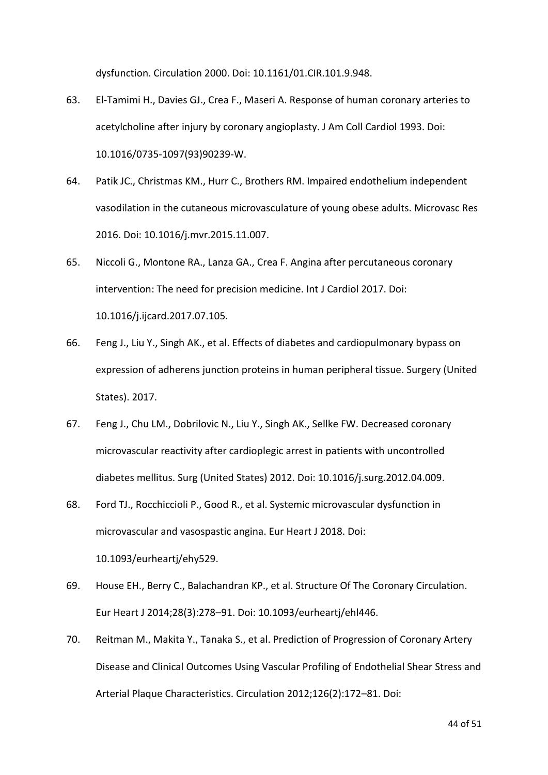dysfunction. Circulation 2000. Doi: 10.1161/01.CIR.101.9.948.

- 63. El-Tamimi H., Davies GJ., Crea F., Maseri A. Response of human coronary arteries to acetylcholine after injury by coronary angioplasty. J Am Coll Cardiol 1993. Doi: 10.1016/0735-1097(93)90239-W.
- 64. Patik JC., Christmas KM., Hurr C., Brothers RM. Impaired endothelium independent vasodilation in the cutaneous microvasculature of young obese adults. Microvasc Res 2016. Doi: 10.1016/j.mvr.2015.11.007.
- 65. Niccoli G., Montone RA., Lanza GA., Crea F. Angina after percutaneous coronary intervention: The need for precision medicine. Int J Cardiol 2017. Doi: 10.1016/j.ijcard.2017.07.105.
- 66. Feng J., Liu Y., Singh AK., et al. Effects of diabetes and cardiopulmonary bypass on expression of adherens junction proteins in human peripheral tissue. Surgery (United States). 2017.
- 67. Feng J., Chu LM., Dobrilovic N., Liu Y., Singh AK., Sellke FW. Decreased coronary microvascular reactivity after cardioplegic arrest in patients with uncontrolled diabetes mellitus. Surg (United States) 2012. Doi: 10.1016/j.surg.2012.04.009.
- 68. Ford TJ., Rocchiccioli P., Good R., et al. Systemic microvascular dysfunction in microvascular and vasospastic angina. Eur Heart J 2018. Doi: 10.1093/eurheartj/ehy529.
- 69. House EH., Berry C., Balachandran KP., et al. Structure Of The Coronary Circulation. Eur Heart J 2014;28(3):278–91. Doi: 10.1093/eurheartj/ehl446.
- 70. Reitman M., Makita Y., Tanaka S., et al. Prediction of Progression of Coronary Artery Disease and Clinical Outcomes Using Vascular Profiling of Endothelial Shear Stress and Arterial Plaque Characteristics. Circulation 2012;126(2):172–81. Doi: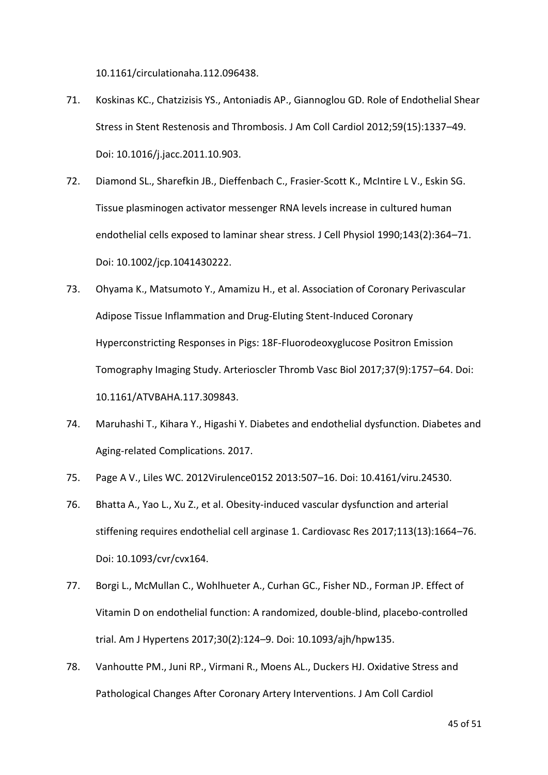10.1161/circulationaha.112.096438.

- 71. Koskinas KC., Chatzizisis YS., Antoniadis AP., Giannoglou GD. Role of Endothelial Shear Stress in Stent Restenosis and Thrombosis. J Am Coll Cardiol 2012;59(15):1337–49. Doi: 10.1016/j.jacc.2011.10.903.
- 72. Diamond SL., Sharefkin JB., Dieffenbach C., Frasier‐Scott K., McIntire L V., Eskin SG. Tissue plasminogen activator messenger RNA levels increase in cultured human endothelial cells exposed to laminar shear stress. J Cell Physiol 1990;143(2):364–71. Doi: 10.1002/jcp.1041430222.
- 73. Ohyama K., Matsumoto Y., Amamizu H., et al. Association of Coronary Perivascular Adipose Tissue Inflammation and Drug-Eluting Stent-Induced Coronary Hyperconstricting Responses in Pigs: 18F-Fluorodeoxyglucose Positron Emission Tomography Imaging Study. Arterioscler Thromb Vasc Biol 2017;37(9):1757–64. Doi: 10.1161/ATVBAHA.117.309843.
- 74. Maruhashi T., Kihara Y., Higashi Y. Diabetes and endothelial dysfunction. Diabetes and Aging-related Complications. 2017.
- 75. Page A V., Liles WC. 2012Virulence0152 2013:507–16. Doi: 10.4161/viru.24530.
- 76. Bhatta A., Yao L., Xu Z., et al. Obesity-induced vascular dysfunction and arterial stiffening requires endothelial cell arginase 1. Cardiovasc Res 2017;113(13):1664–76. Doi: 10.1093/cvr/cvx164.
- 77. Borgi L., McMullan C., Wohlhueter A., Curhan GC., Fisher ND., Forman JP. Effect of Vitamin D on endothelial function: A randomized, double-blind, placebo-controlled trial. Am J Hypertens 2017;30(2):124–9. Doi: 10.1093/ajh/hpw135.
- 78. Vanhoutte PM., Juni RP., Virmani R., Moens AL., Duckers HJ. Oxidative Stress and Pathological Changes After Coronary Artery Interventions. J Am Coll Cardiol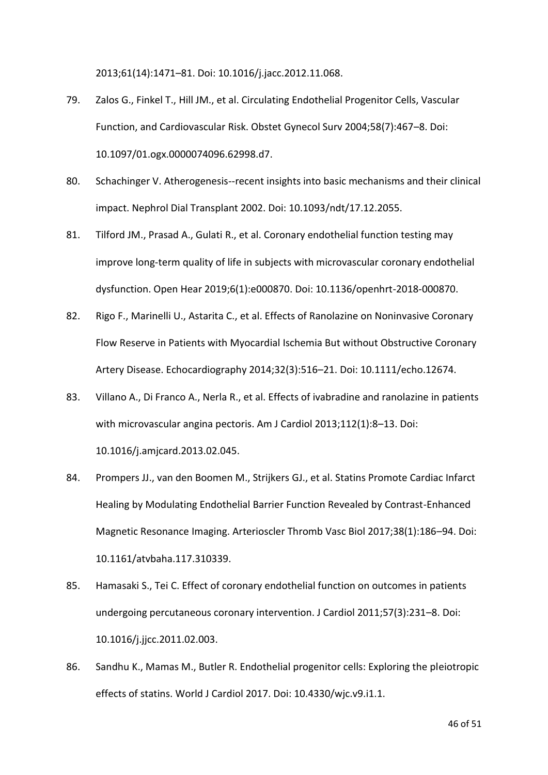2013;61(14):1471–81. Doi: 10.1016/j.jacc.2012.11.068.

- 79. Zalos G., Finkel T., Hill JM., et al. Circulating Endothelial Progenitor Cells, Vascular Function, and Cardiovascular Risk. Obstet Gynecol Surv 2004;58(7):467–8. Doi: 10.1097/01.ogx.0000074096.62998.d7.
- 80. Schachinger V. Atherogenesis--recent insights into basic mechanisms and their clinical impact. Nephrol Dial Transplant 2002. Doi: 10.1093/ndt/17.12.2055.
- 81. Tilford JM., Prasad A., Gulati R., et al. Coronary endothelial function testing may improve long-term quality of life in subjects with microvascular coronary endothelial dysfunction. Open Hear 2019;6(1):e000870. Doi: 10.1136/openhrt-2018-000870.
- 82. Rigo F., Marinelli U., Astarita C., et al. Effects of Ranolazine on Noninvasive Coronary Flow Reserve in Patients with Myocardial Ischemia But without Obstructive Coronary Artery Disease. Echocardiography 2014;32(3):516–21. Doi: 10.1111/echo.12674.
- 83. Villano A., Di Franco A., Nerla R., et al. Effects of ivabradine and ranolazine in patients with microvascular angina pectoris. Am J Cardiol 2013;112(1):8–13. Doi: 10.1016/j.amjcard.2013.02.045.
- 84. Prompers JJ., van den Boomen M., Strijkers GJ., et al. Statins Promote Cardiac Infarct Healing by Modulating Endothelial Barrier Function Revealed by Contrast-Enhanced Magnetic Resonance Imaging. Arterioscler Thromb Vasc Biol 2017;38(1):186–94. Doi: 10.1161/atvbaha.117.310339.
- 85. Hamasaki S., Tei C. Effect of coronary endothelial function on outcomes in patients undergoing percutaneous coronary intervention. J Cardiol 2011;57(3):231–8. Doi: 10.1016/j.jjcc.2011.02.003.
- 86. Sandhu K., Mamas M., Butler R. Endothelial progenitor cells: Exploring the pleiotropic effects of statins. World J Cardiol 2017. Doi: 10.4330/wjc.v9.i1.1.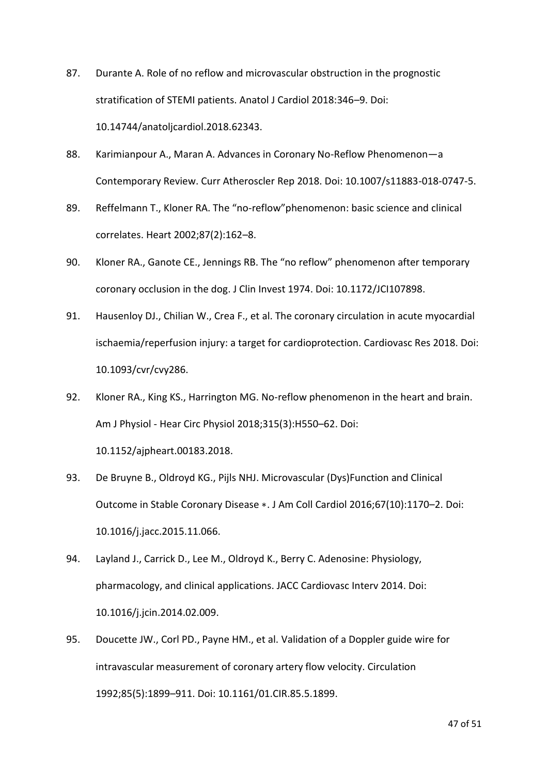- 87. Durante A. Role of no reflow and microvascular obstruction in the prognostic stratification of STEMI patients. Anatol J Cardiol 2018:346–9. Doi: 10.14744/anatoljcardiol.2018.62343.
- 88. Karimianpour A., Maran A. Advances in Coronary No-Reflow Phenomenon—a Contemporary Review. Curr Atheroscler Rep 2018. Doi: 10.1007/s11883-018-0747-5.
- 89. Reffelmann T., Kloner RA. The "no-reflow"phenomenon: basic science and clinical correlates. Heart 2002;87(2):162–8.
- 90. Kloner RA., Ganote CE., Jennings RB. The "no reflow" phenomenon after temporary coronary occlusion in the dog. J Clin Invest 1974. Doi: 10.1172/JCI107898.
- 91. Hausenloy DJ., Chilian W., Crea F., et al. The coronary circulation in acute myocardial ischaemia/reperfusion injury: a target for cardioprotection. Cardiovasc Res 2018. Doi: 10.1093/cvr/cvy286.
- 92. Kloner RA., King KS., Harrington MG. No-reflow phenomenon in the heart and brain. Am J Physiol - Hear Circ Physiol 2018;315(3):H550–62. Doi: 10.1152/ajpheart.00183.2018.
- 93. De Bruyne B., Oldroyd KG., Pijls NHJ. Microvascular (Dys)Function and Clinical Outcome in Stable Coronary Disease ∗. J Am Coll Cardiol 2016;67(10):1170–2. Doi: 10.1016/j.jacc.2015.11.066.
- 94. Layland J., Carrick D., Lee M., Oldroyd K., Berry C. Adenosine: Physiology, pharmacology, and clinical applications. JACC Cardiovasc Interv 2014. Doi: 10.1016/j.jcin.2014.02.009.
- 95. Doucette JW., Corl PD., Payne HM., et al. Validation of a Doppler guide wire for intravascular measurement of coronary artery flow velocity. Circulation 1992;85(5):1899–911. Doi: 10.1161/01.CIR.85.5.1899.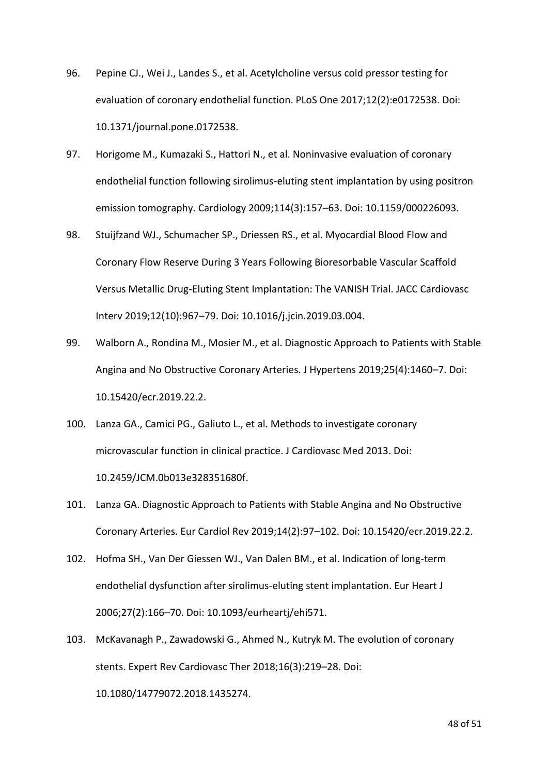- 96. Pepine CJ., Wei J., Landes S., et al. Acetylcholine versus cold pressor testing for evaluation of coronary endothelial function. PLoS One 2017;12(2):e0172538. Doi: 10.1371/journal.pone.0172538.
- 97. Horigome M., Kumazaki S., Hattori N., et al. Noninvasive evaluation of coronary endothelial function following sirolimus-eluting stent implantation by using positron emission tomography. Cardiology 2009;114(3):157–63. Doi: 10.1159/000226093.
- 98. Stuijfzand WJ., Schumacher SP., Driessen RS., et al. Myocardial Blood Flow and Coronary Flow Reserve During 3 Years Following Bioresorbable Vascular Scaffold Versus Metallic Drug-Eluting Stent Implantation: The VANISH Trial. JACC Cardiovasc Interv 2019;12(10):967–79. Doi: 10.1016/j.jcin.2019.03.004.
- 99. Walborn A., Rondina M., Mosier M., et al. Diagnostic Approach to Patients with Stable Angina and No Obstructive Coronary Arteries. J Hypertens 2019;25(4):1460–7. Doi: 10.15420/ecr.2019.22.2.
- 100. Lanza GA., Camici PG., Galiuto L., et al. Methods to investigate coronary microvascular function in clinical practice. J Cardiovasc Med 2013. Doi: 10.2459/JCM.0b013e328351680f.
- 101. Lanza GA. Diagnostic Approach to Patients with Stable Angina and No Obstructive Coronary Arteries. Eur Cardiol Rev 2019;14(2):97–102. Doi: 10.15420/ecr.2019.22.2.
- 102. Hofma SH., Van Der Giessen WJ., Van Dalen BM., et al. Indication of long-term endothelial dysfunction after sirolimus-eluting stent implantation. Eur Heart J 2006;27(2):166–70. Doi: 10.1093/eurheartj/ehi571.
- 103. McKavanagh P., Zawadowski G., Ahmed N., Kutryk M. The evolution of coronary stents. Expert Rev Cardiovasc Ther 2018;16(3):219–28. Doi: 10.1080/14779072.2018.1435274.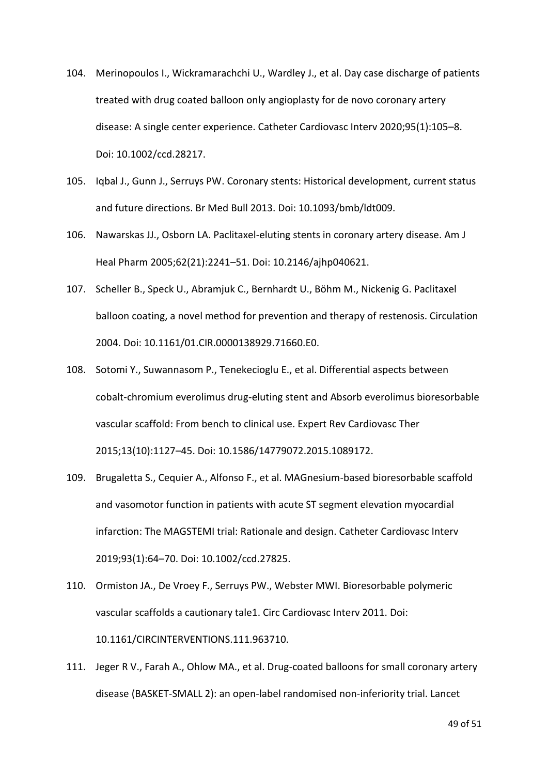- 104. Merinopoulos I., Wickramarachchi U., Wardley J., et al. Day case discharge of patients treated with drug coated balloon only angioplasty for de novo coronary artery disease: A single center experience. Catheter Cardiovasc Interv 2020;95(1):105–8. Doi: 10.1002/ccd.28217.
- 105. Iqbal J., Gunn J., Serruys PW. Coronary stents: Historical development, current status and future directions. Br Med Bull 2013. Doi: 10.1093/bmb/ldt009.
- 106. Nawarskas JJ., Osborn LA. Paclitaxel-eluting stents in coronary artery disease. Am J Heal Pharm 2005;62(21):2241–51. Doi: 10.2146/ajhp040621.
- 107. Scheller B., Speck U., Abramjuk C., Bernhardt U., Böhm M., Nickenig G. Paclitaxel balloon coating, a novel method for prevention and therapy of restenosis. Circulation 2004. Doi: 10.1161/01.CIR.0000138929.71660.E0.
- 108. Sotomi Y., Suwannasom P., Tenekecioglu E., et al. Differential aspects between cobalt-chromium everolimus drug-eluting stent and Absorb everolimus bioresorbable vascular scaffold: From bench to clinical use. Expert Rev Cardiovasc Ther 2015;13(10):1127–45. Doi: 10.1586/14779072.2015.1089172.
- 109. Brugaletta S., Cequier A., Alfonso F., et al. MAGnesium-based bioresorbable scaffold and vasomotor function in patients with acute ST segment elevation myocardial infarction: The MAGSTEMI trial: Rationale and design. Catheter Cardiovasc Interv 2019;93(1):64–70. Doi: 10.1002/ccd.27825.
- 110. Ormiston JA., De Vroey F., Serruys PW., Webster MWI. Bioresorbable polymeric vascular scaffolds a cautionary tale1. Circ Cardiovasc Interv 2011. Doi: 10.1161/CIRCINTERVENTIONS.111.963710.
- 111. Jeger R V., Farah A., Ohlow MA., et al. Drug-coated balloons for small coronary artery disease (BASKET-SMALL 2): an open-label randomised non-inferiority trial. Lancet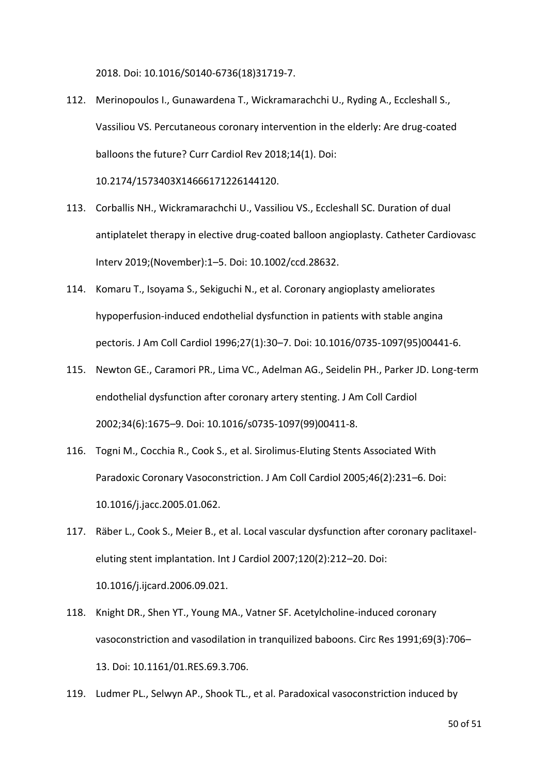2018. Doi: 10.1016/S0140-6736(18)31719-7.

- 112. Merinopoulos I., Gunawardena T., Wickramarachchi U., Ryding A., Eccleshall S., Vassiliou VS. Percutaneous coronary intervention in the elderly: Are drug-coated balloons the future? Curr Cardiol Rev 2018;14(1). Doi: 10.2174/1573403X14666171226144120.
- 113. Corballis NH., Wickramarachchi U., Vassiliou VS., Eccleshall SC. Duration of dual antiplatelet therapy in elective drug-coated balloon angioplasty. Catheter Cardiovasc Interv 2019;(November):1–5. Doi: 10.1002/ccd.28632.
- 114. Komaru T., Isoyama S., Sekiguchi N., et al. Coronary angioplasty ameliorates hypoperfusion-induced endothelial dysfunction in patients with stable angina pectoris. J Am Coll Cardiol 1996;27(1):30–7. Doi: 10.1016/0735-1097(95)00441-6.
- 115. Newton GE., Caramori PR., Lima VC., Adelman AG., Seidelin PH., Parker JD. Long-term endothelial dysfunction after coronary artery stenting. J Am Coll Cardiol 2002;34(6):1675–9. Doi: 10.1016/s0735-1097(99)00411-8.
- 116. Togni M., Cocchia R., Cook S., et al. Sirolimus-Eluting Stents Associated With Paradoxic Coronary Vasoconstriction. J Am Coll Cardiol 2005;46(2):231–6. Doi: 10.1016/j.jacc.2005.01.062.
- 117. Räber L., Cook S., Meier B., et al. Local vascular dysfunction after coronary paclitaxeleluting stent implantation. Int J Cardiol 2007;120(2):212–20. Doi: 10.1016/j.ijcard.2006.09.021.
- 118. Knight DR., Shen YT., Young MA., Vatner SF. Acetylcholine-induced coronary vasoconstriction and vasodilation in tranquilized baboons. Circ Res 1991;69(3):706– 13. Doi: 10.1161/01.RES.69.3.706.
- 119. Ludmer PL., Selwyn AP., Shook TL., et al. Paradoxical vasoconstriction induced by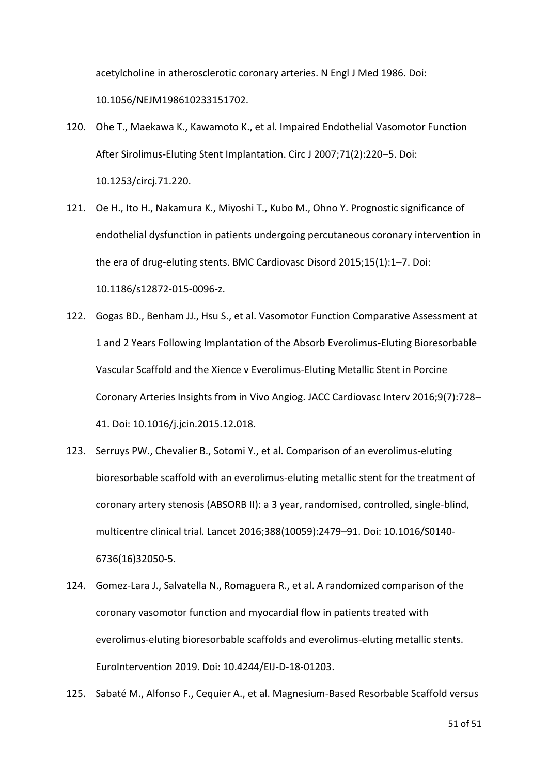acetylcholine in atherosclerotic coronary arteries. N Engl J Med 1986. Doi: 10.1056/NEJM198610233151702.

- 120. Ohe T., Maekawa K., Kawamoto K., et al. Impaired Endothelial Vasomotor Function After Sirolimus-Eluting Stent Implantation. Circ J 2007;71(2):220–5. Doi: 10.1253/circj.71.220.
- 121. Oe H., Ito H., Nakamura K., Miyoshi T., Kubo M., Ohno Y. Prognostic significance of endothelial dysfunction in patients undergoing percutaneous coronary intervention in the era of drug-eluting stents. BMC Cardiovasc Disord 2015;15(1):1–7. Doi: 10.1186/s12872-015-0096-z.
- 122. Gogas BD., Benham JJ., Hsu S., et al. Vasomotor Function Comparative Assessment at 1 and 2 Years Following Implantation of the Absorb Everolimus-Eluting Bioresorbable Vascular Scaffold and the Xience v Everolimus-Eluting Metallic Stent in Porcine Coronary Arteries Insights from in Vivo Angiog. JACC Cardiovasc Interv 2016;9(7):728– 41. Doi: 10.1016/j.jcin.2015.12.018.
- 123. Serruys PW., Chevalier B., Sotomi Y., et al. Comparison of an everolimus-eluting bioresorbable scaffold with an everolimus-eluting metallic stent for the treatment of coronary artery stenosis (ABSORB II): a 3 year, randomised, controlled, single-blind, multicentre clinical trial. Lancet 2016;388(10059):2479–91. Doi: 10.1016/S0140- 6736(16)32050-5.
- 124. Gomez-Lara J., Salvatella N., Romaguera R., et al. A randomized comparison of the coronary vasomotor function and myocardial flow in patients treated with everolimus-eluting bioresorbable scaffolds and everolimus-eluting metallic stents. EuroIntervention 2019. Doi: 10.4244/EIJ-D-18-01203.
- 125. Sabaté M., Alfonso F., Cequier A., et al. Magnesium-Based Resorbable Scaffold versus